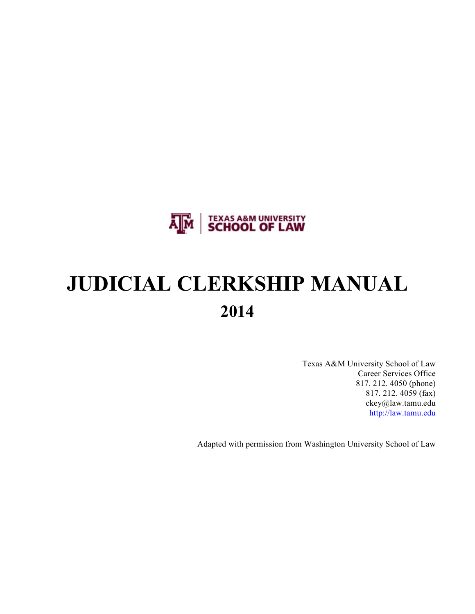

# **JUDICIAL CLERKSHIP MANUAL 2014**

Texas A&M University School of Law Career Services Office 817. 212. 4050 (phone) 817. 212. 4059 (fax) ckey@law.tamu.edu http://law.tamu.edu

Adapted with permission from Washington University School of Law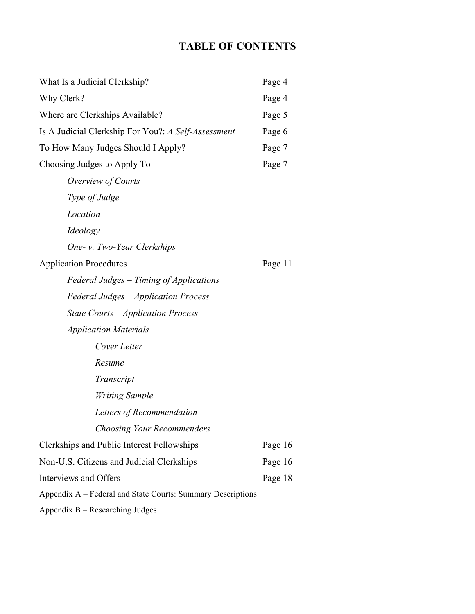# **TABLE OF CONTENTS**

| What Is a Judicial Clerkship?                               | Page 4  |
|-------------------------------------------------------------|---------|
| Why Clerk?                                                  | Page 4  |
| Where are Clerkships Available?                             | Page 5  |
| Is A Judicial Clerkship For You?: A Self-Assessment         | Page 6  |
| To How Many Judges Should I Apply?                          | Page 7  |
| Choosing Judges to Apply To                                 | Page 7  |
| Overview of Courts                                          |         |
| Type of Judge                                               |         |
| Location                                                    |         |
| Ideology                                                    |         |
| One- v. Two-Year Clerkships                                 |         |
| <b>Application Procedures</b>                               | Page 11 |
| Federal Judges - Timing of Applications                     |         |
| Federal Judges - Application Process                        |         |
| State Courts - Application Process                          |         |
| <b>Application Materials</b>                                |         |
| Cover Letter                                                |         |
| Resume                                                      |         |
| Transcript                                                  |         |
| <b>Writing Sample</b>                                       |         |
| Letters of Recommendation                                   |         |
| <b>Choosing Your Recommenders</b>                           |         |
| Clerkships and Public Interest Fellowships                  | Page 16 |
| Non-U.S. Citizens and Judicial Clerkships                   | Page 16 |
| Interviews and Offers                                       | Page 18 |
| Appendix A – Federal and State Courts: Summary Descriptions |         |
|                                                             |         |

Appendix B – Researching Judges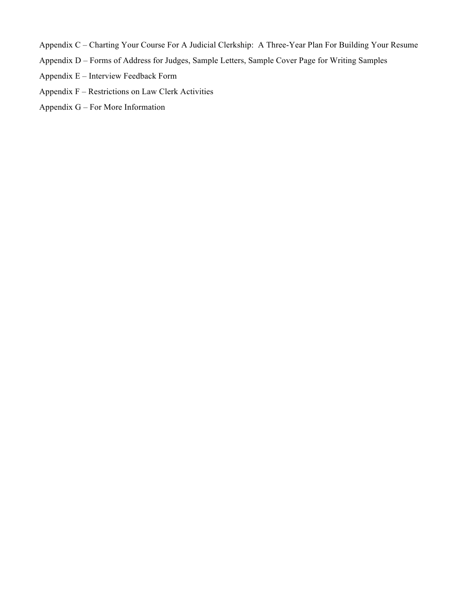Appendix C – Charting Your Course For A Judicial Clerkship: A Three-Year Plan For Building Your Resume

- Appendix D Forms of Address for Judges, Sample Letters, Sample Cover Page for Writing Samples
- Appendix E Interview Feedback Form
- Appendix F Restrictions on Law Clerk Activities
- Appendix G For More Information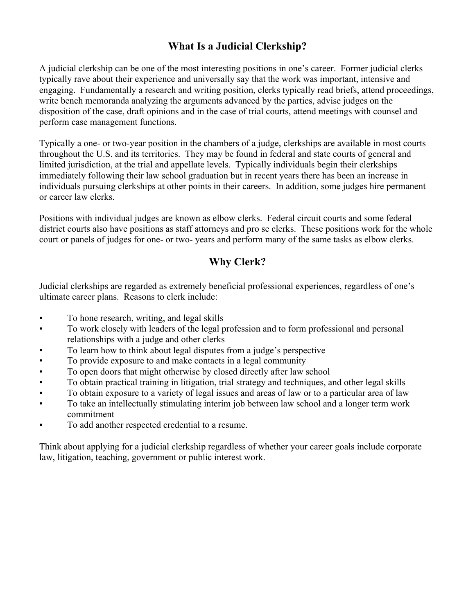# **What Is a Judicial Clerkship?**

A judicial clerkship can be one of the most interesting positions in one's career. Former judicial clerks typically rave about their experience and universally say that the work was important, intensive and engaging. Fundamentally a research and writing position, clerks typically read briefs, attend proceedings, write bench memoranda analyzing the arguments advanced by the parties, advise judges on the disposition of the case, draft opinions and in the case of trial courts, attend meetings with counsel and perform case management functions.

Typically a one- or two-year position in the chambers of a judge, clerkships are available in most courts throughout the U.S. and its territories. They may be found in federal and state courts of general and limited jurisdiction, at the trial and appellate levels. Typically individuals begin their clerkships immediately following their law school graduation but in recent years there has been an increase in individuals pursuing clerkships at other points in their careers. In addition, some judges hire permanent or career law clerks.

Positions with individual judges are known as elbow clerks. Federal circuit courts and some federal district courts also have positions as staff attorneys and pro se clerks. These positions work for the whole court or panels of judges for one- or two- years and perform many of the same tasks as elbow clerks.

# **Why Clerk?**

Judicial clerkships are regarded as extremely beneficial professional experiences, regardless of one's ultimate career plans. Reasons to clerk include:

- To hone research, writing, and legal skills
- To work closely with leaders of the legal profession and to form professional and personal relationships with a judge and other clerks
- To learn how to think about legal disputes from a judge's perspective
- To provide exposure to and make contacts in a legal community
- To open doors that might otherwise by closed directly after law school
- To obtain practical training in litigation, trial strategy and techniques, and other legal skills
- To obtain exposure to a variety of legal issues and areas of law or to a particular area of law
- To take an intellectually stimulating interim job between law school and a longer term work commitment
- To add another respected credential to a resume.

Think about applying for a judicial clerkship regardless of whether your career goals include corporate law, litigation, teaching, government or public interest work.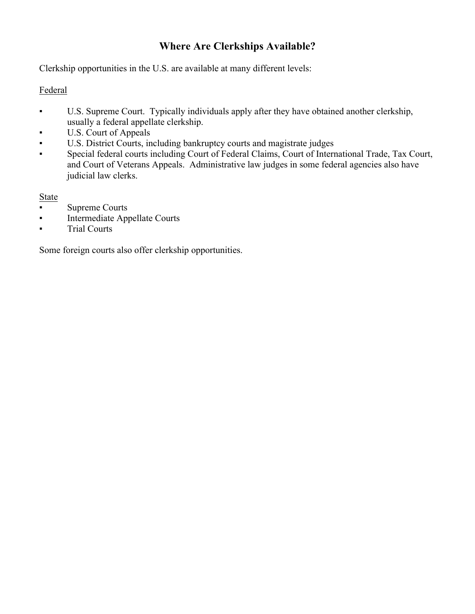# **Where Are Clerkships Available?**

Clerkship opportunities in the U.S. are available at many different levels:

# Federal

- U.S. Supreme Court. Typically individuals apply after they have obtained another clerkship, usually a federal appellate clerkship.
- U.S. Court of Appeals
- U.S. District Courts, including bankruptcy courts and magistrate judges
- Special federal courts including Court of Federal Claims, Court of International Trade, Tax Court, and Court of Veterans Appeals. Administrative law judges in some federal agencies also have judicial law clerks.

State

- Supreme Courts
- Intermediate Appellate Courts
- Trial Courts

Some foreign courts also offer clerkship opportunities.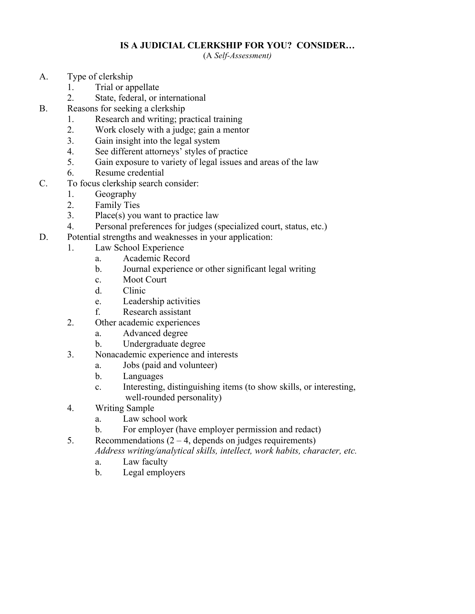# **IS A JUDICIAL CLERKSHIP FOR YOU? CONSIDER…**

(A *Self-Assessment)*

- A. Type of clerkship
	- 1. Trial or appellate
	- 2. State, federal, or international
- B. Reasons for seeking a clerkship
	- 1. Research and writing; practical training
	- 2. Work closely with a judge; gain a mentor
	- 3. Gain insight into the legal system
	- 4. See different attorneys' styles of practice
	- 5. Gain exposure to variety of legal issues and areas of the law
	- 6. Resume credential
- C. To focus clerkship search consider:
	- 1. Geography
	- 2. Family Ties
	- 3. Place(s) you want to practice law
	- 4. Personal preferences for judges (specialized court, status, etc.)
- D. Potential strengths and weaknesses in your application:
	- 1. Law School Experience
		- a. Academic Record
		- b. Journal experience or other significant legal writing
		- c. Moot Court
		- d. Clinic
		- e. Leadership activities
		- f. Research assistant
	- 2. Other academic experiences
		- a. Advanced degree
		- b. Undergraduate degree
	- 3. Nonacademic experience and interests
		- a. Jobs (paid and volunteer)
		- b. Languages
		- c. Interesting, distinguishing items (to show skills, or interesting, well-rounded personality)
	- 4. Writing Sample
		- a. Law school work
		- b. For employer (have employer permission and redact)
	- 5. Recommendations  $(2 4)$ , depends on judges requirements)

*Address writing/analytical skills, intellect, work habits, character, etc.* 

- a. Law faculty
- b. Legal employers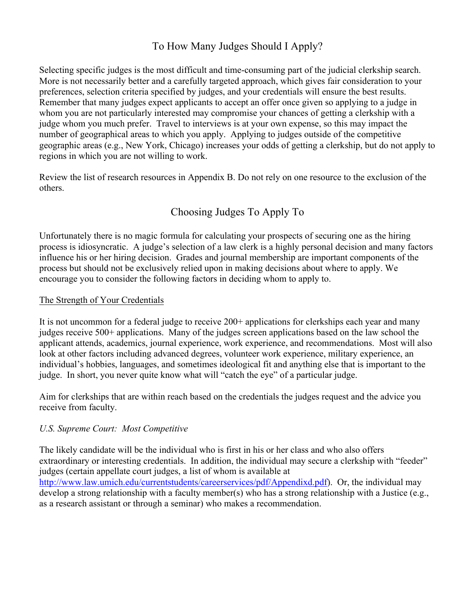# To How Many Judges Should I Apply?

Selecting specific judges is the most difficult and time-consuming part of the judicial clerkship search. More is not necessarily better and a carefully targeted approach, which gives fair consideration to your preferences, selection criteria specified by judges, and your credentials will ensure the best results. Remember that many judges expect applicants to accept an offer once given so applying to a judge in whom you are not particularly interested may compromise your chances of getting a clerkship with a judge whom you much prefer. Travel to interviews is at your own expense, so this may impact the number of geographical areas to which you apply. Applying to judges outside of the competitive geographic areas (e.g., New York, Chicago) increases your odds of getting a clerkship, but do not apply to regions in which you are not willing to work.

Review the list of research resources in Appendix B. Do not rely on one resource to the exclusion of the others.

# Choosing Judges To Apply To

Unfortunately there is no magic formula for calculating your prospects of securing one as the hiring process is idiosyncratic. A judge's selection of a law clerk is a highly personal decision and many factors influence his or her hiring decision. Grades and journal membership are important components of the process but should not be exclusively relied upon in making decisions about where to apply. We encourage you to consider the following factors in deciding whom to apply to.

# The Strength of Your Credentials

It is not uncommon for a federal judge to receive 200+ applications for clerkships each year and many judges receive 500+ applications. Many of the judges screen applications based on the law school the applicant attends, academics, journal experience, work experience, and recommendations. Most will also look at other factors including advanced degrees, volunteer work experience, military experience, an individual's hobbies, languages, and sometimes ideological fit and anything else that is important to the judge. In short, you never quite know what will "catch the eye" of a particular judge.

Aim for clerkships that are within reach based on the credentials the judges request and the advice you receive from faculty.

# *U.S. Supreme Court: Most Competitive*

The likely candidate will be the individual who is first in his or her class and who also offers extraordinary or interesting credentials. In addition, the individual may secure a clerkship with "feeder" judges (certain appellate court judges, a list of whom is available at http://www.law.umich.edu/currentstudents/careerservices/pdf/Appendixd.pdf). Or, the individual may develop a strong relationship with a faculty member(s) who has a strong relationship with a Justice (e.g., as a research assistant or through a seminar) who makes a recommendation.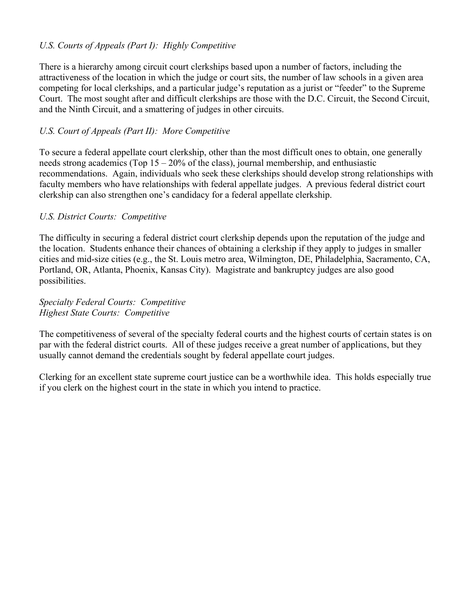# *U.S. Courts of Appeals (Part I): Highly Competitive*

There is a hierarchy among circuit court clerkships based upon a number of factors, including the attractiveness of the location in which the judge or court sits, the number of law schools in a given area competing for local clerkships, and a particular judge's reputation as a jurist or "feeder" to the Supreme Court. The most sought after and difficult clerkships are those with the D.C. Circuit, the Second Circuit, and the Ninth Circuit, and a smattering of judges in other circuits.

# *U.S. Court of Appeals (Part II): More Competitive*

To secure a federal appellate court clerkship, other than the most difficult ones to obtain, one generally needs strong academics (Top 15 – 20% of the class), journal membership, and enthusiastic recommendations. Again, individuals who seek these clerkships should develop strong relationships with faculty members who have relationships with federal appellate judges. A previous federal district court clerkship can also strengthen one's candidacy for a federal appellate clerkship.

# *U.S. District Courts: Competitive*

The difficulty in securing a federal district court clerkship depends upon the reputation of the judge and the location. Students enhance their chances of obtaining a clerkship if they apply to judges in smaller cities and mid-size cities (e.g., the St. Louis metro area, Wilmington, DE, Philadelphia, Sacramento, CA, Portland, OR, Atlanta, Phoenix, Kansas City). Magistrate and bankruptcy judges are also good possibilities.

# *Specialty Federal Courts: Competitive Highest State Courts: Competitive*

The competitiveness of several of the specialty federal courts and the highest courts of certain states is on par with the federal district courts. All of these judges receive a great number of applications, but they usually cannot demand the credentials sought by federal appellate court judges.

Clerking for an excellent state supreme court justice can be a worthwhile idea. This holds especially true if you clerk on the highest court in the state in which you intend to practice.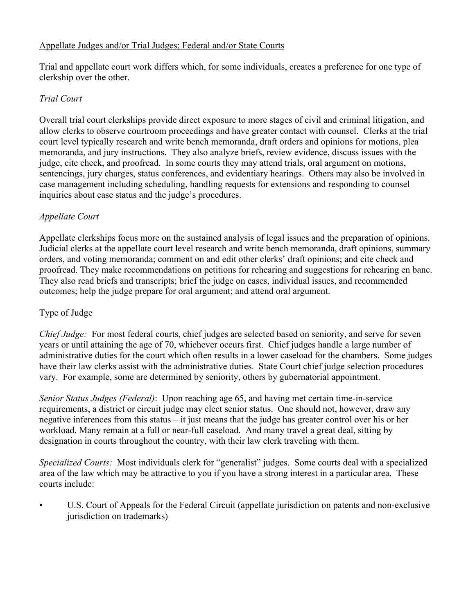# Appellate Judges and/or Trial Judges; Federal and/or State Courts

Trial and appellate court work differs which, for some individuals, creates a preference for one type of clerkship over the other.

# *Trial Court*

Overall trial court clerkships provide direct exposure to more stages of civil and criminal litigation, and allow clerks to observe courtroom proceedings and have greater contact with counsel. Clerks at the trial court level typically research and write bench memoranda, draft orders and opinions for motions, plea memoranda, and jury instructions. They also analyze briefs, review evidence, discuss issues with the judge, cite check, and proofread. In some courts they may attend trials, oral argument on motions, sentencings, jury charges, status conferences, and evidentiary hearings. Others may also be involved in case management including scheduling, handling requests for extensions and responding to counsel inquiries about case status and the judge's procedures.

# *Appellate Court*

Appellate clerkships focus more on the sustained analysis of legal issues and the preparation of opinions. Judicial clerks at the appellate court level research and write bench memoranda, draft opinions, summary orders, and voting memoranda; comment on and edit other clerks' draft opinions; and cite check and proofread. They make recommendations on petitions for rehearing and suggestions for rehearing en banc. They also read briefs and transcripts; brief the judge on cases, individual issues, and recommended outcomes; help the judge prepare for oral argument; and attend oral argument.

# Type of Judge

*Chief Judge:* For most federal courts, chief judges are selected based on seniority, and serve for seven years or until attaining the age of 70, whichever occurs first. Chief judges handle a large number of administrative duties for the court which often results in a lower caseload for the chambers. Some judges have their law clerks assist with the administrative duties. State Court chief judge selection procedures vary. For example, some are determined by seniority, others by gubernatorial appointment.

*Senior Status Judges (Federal)*: Upon reaching age 65, and having met certain time-in-service requirements, a district or circuit judge may elect senior status. One should not, however, draw any negative inferences from this status – it just means that the judge has greater control over his or her workload. Many remain at a full or near-full caseload. And many travel a great deal, sitting by designation in courts throughout the country, with their law clerk traveling with them.

*Specialized Courts:* Most individuals clerk for "generalist" judges. Some courts deal with a specialized area of the law which may be attractive to you if you have a strong interest in a particular area. These courts include:

▪ U.S. Court of Appeals for the Federal Circuit (appellate jurisdiction on patents and non-exclusive jurisdiction on trademarks)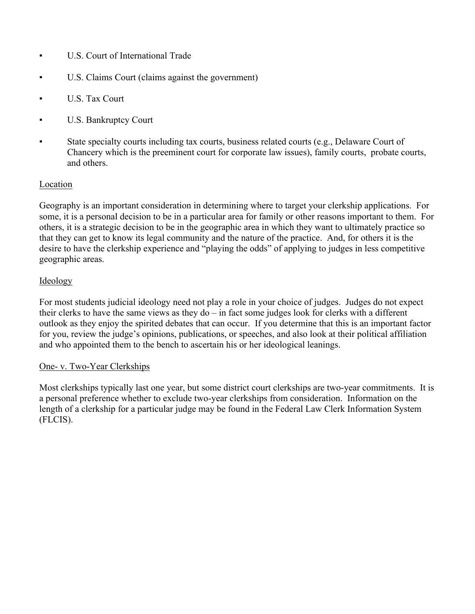- U.S. Court of International Trade
- U.S. Claims Court (claims against the government)
- U.S. Tax Court
- U.S. Bankruptcy Court
- State specialty courts including tax courts, business related courts (e.g., Delaware Court of Chancery which is the preeminent court for corporate law issues), family courts, probate courts, and others.

# Location

Geography is an important consideration in determining where to target your clerkship applications. For some, it is a personal decision to be in a particular area for family or other reasons important to them. For others, it is a strategic decision to be in the geographic area in which they want to ultimately practice so that they can get to know its legal community and the nature of the practice. And, for others it is the desire to have the clerkship experience and "playing the odds" of applying to judges in less competitive geographic areas.

# **Ideology**

For most students judicial ideology need not play a role in your choice of judges. Judges do not expect their clerks to have the same views as they do – in fact some judges look for clerks with a different outlook as they enjoy the spirited debates that can occur. If you determine that this is an important factor for you, review the judge's opinions, publications, or speeches, and also look at their political affiliation and who appointed them to the bench to ascertain his or her ideological leanings.

# One- v. Two-Year Clerkships

Most clerkships typically last one year, but some district court clerkships are two-year commitments. It is a personal preference whether to exclude two-year clerkships from consideration. Information on the length of a clerkship for a particular judge may be found in the Federal Law Clerk Information System (FLCIS).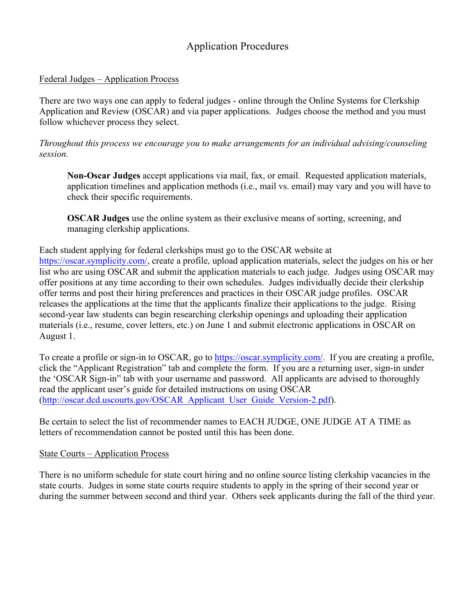# Application Procedures

# Federal Judges – Application Process

There are two ways one can apply to federal judges - online through the Online Systems for Clerkship Application and Review (OSCAR) and via paper applications. Judges choose the method and you must follow whichever process they select.

*Throughout this process we encourage you to make arrangements for an individual advising/counseling session.*

**Non-Oscar Judges** accept applications via mail, fax, or email. Requested application materials, application timelines and application methods (i.e., mail vs. email) may vary and you will have to check their specific requirements.

**OSCAR Judges** use the online system as their exclusive means of sorting, screening, and managing clerkship applications.

Each student applying for federal clerkships must go to the OSCAR website at https://oscar.symplicity.com/, create a profile, upload application materials, select the judges on his or her list who are using OSCAR and submit the application materials to each judge. Judges using OSCAR may offer positions at any time according to their own schedules. Judges individually decide their clerkship offer terms and post their hiring preferences and practices in their OSCAR judge profiles. OSCAR releases the applications at the time that the applicants finalize their applications to the judge. Rising second-year law students can begin researching clerkship openings and uploading their application materials (i.e., resume, cover letters, etc.) on June 1 and submit electronic applications in OSCAR on August 1.

To create a profile or sign-in to OSCAR, go to https://oscar.symplicity.com/. If you are creating a profile, click the "Applicant Registration" tab and complete the form. If you are a returning user, sign-in under the 'OSCAR Sign-in" tab with your username and password. All applicants are advised to thoroughly read the applicant user's guide for detailed instructions on using OSCAR (http://oscar.dcd.uscourts.gov/OSCAR\_Applicant\_User\_Guide\_Version-2.pdf).

Be certain to select the list of recommender names to EACH JUDGE, ONE JUDGE AT A TIME as letters of recommendation cannot be posted until this has been done.

# State Courts – Application Process

There is no uniform schedule for state court hiring and no online source listing clerkship vacancies in the state courts. Judges in some state courts require students to apply in the spring of their second year or during the summer between second and third year. Others seek applicants during the fall of the third year.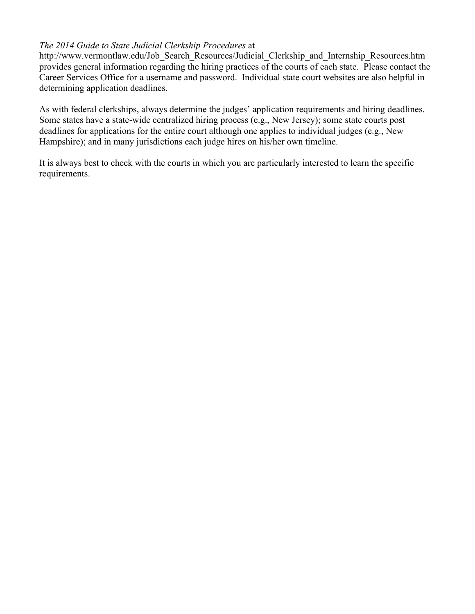# *The 2014 Guide to State Judicial Clerkship Procedures* at

http://www.vermontlaw.edu/Job\_Search\_Resources/Judicial\_Clerkship\_and\_Internship\_Resources.htm provides general information regarding the hiring practices of the courts of each state. Please contact the Career Services Office for a username and password. Individual state court websites are also helpful in determining application deadlines.

As with federal clerkships, always determine the judges' application requirements and hiring deadlines. Some states have a state-wide centralized hiring process (e.g., New Jersey); some state courts post deadlines for applications for the entire court although one applies to individual judges (e.g., New Hampshire); and in many jurisdictions each judge hires on his/her own timeline.

It is always best to check with the courts in which you are particularly interested to learn the specific requirements.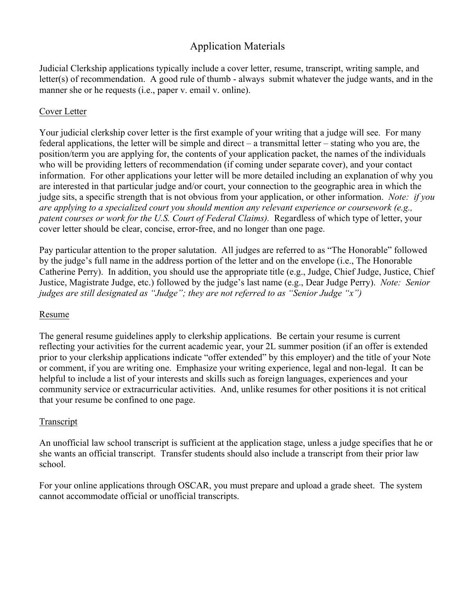# Application Materials

Judicial Clerkship applications typically include a cover letter, resume, transcript, writing sample, and letter(s) of recommendation. A good rule of thumb - always submit whatever the judge wants, and in the manner she or he requests (i.e., paper v. email v. online).

# Cover Letter

Your judicial clerkship cover letter is the first example of your writing that a judge will see. For many federal applications, the letter will be simple and direct – a transmittal letter – stating who you are, the position/term you are applying for, the contents of your application packet, the names of the individuals who will be providing letters of recommendation (if coming under separate cover), and your contact information. For other applications your letter will be more detailed including an explanation of why you are interested in that particular judge and/or court, your connection to the geographic area in which the judge sits, a specific strength that is not obvious from your application, or other information. *Note: if you are applying to a specialized court you should mention any relevant experience or coursework (e.g., patent courses or work for the U.S. Court of Federal Claims).* Regardless of which type of letter, your cover letter should be clear, concise, error-free, and no longer than one page.

Pay particular attention to the proper salutation. All judges are referred to as "The Honorable" followed by the judge's full name in the address portion of the letter and on the envelope (i.e., The Honorable Catherine Perry). In addition, you should use the appropriate title (e.g., Judge, Chief Judge, Justice, Chief Justice, Magistrate Judge, etc.) followed by the judge's last name (e.g., Dear Judge Perry). *Note: Senior judges are still designated as "Judge"; they are not referred to as "Senior Judge "x")*

# Resume

The general resume guidelines apply to clerkship applications. Be certain your resume is current reflecting your activities for the current academic year, your 2L summer position (if an offer is extended prior to your clerkship applications indicate "offer extended" by this employer) and the title of your Note or comment, if you are writing one. Emphasize your writing experience, legal and non-legal. It can be helpful to include a list of your interests and skills such as foreign languages, experiences and your community service or extracurricular activities. And, unlike resumes for other positions it is not critical that your resume be confined to one page.

# Transcript

An unofficial law school transcript is sufficient at the application stage, unless a judge specifies that he or she wants an official transcript. Transfer students should also include a transcript from their prior law school.

For your online applications through OSCAR, you must prepare and upload a grade sheet. The system cannot accommodate official or unofficial transcripts.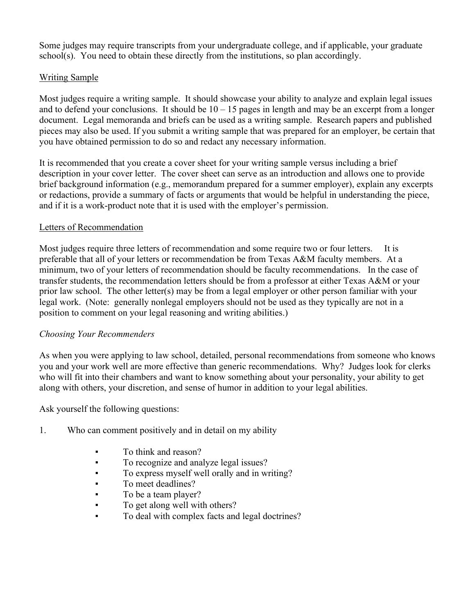Some judges may require transcripts from your undergraduate college, and if applicable, your graduate school(s). You need to obtain these directly from the institutions, so plan accordingly.

# Writing Sample

Most judges require a writing sample. It should showcase your ability to analyze and explain legal issues and to defend your conclusions. It should be  $10 - 15$  pages in length and may be an excerpt from a longer document. Legal memoranda and briefs can be used as a writing sample. Research papers and published pieces may also be used. If you submit a writing sample that was prepared for an employer, be certain that you have obtained permission to do so and redact any necessary information.

It is recommended that you create a cover sheet for your writing sample versus including a brief description in your cover letter. The cover sheet can serve as an introduction and allows one to provide brief background information (e.g., memorandum prepared for a summer employer), explain any excerpts or redactions, provide a summary of facts or arguments that would be helpful in understanding the piece, and if it is a work-product note that it is used with the employer's permission.

# Letters of Recommendation

Most judges require three letters of recommendation and some require two or four letters. It is preferable that all of your letters or recommendation be from Texas A&M faculty members. At a minimum, two of your letters of recommendation should be faculty recommendations. In the case of transfer students, the recommendation letters should be from a professor at either Texas A&M or your prior law school. The other letter(s) may be from a legal employer or other person familiar with your legal work. (Note: generally nonlegal employers should not be used as they typically are not in a position to comment on your legal reasoning and writing abilities.)

# *Choosing Your Recommenders*

As when you were applying to law school, detailed, personal recommendations from someone who knows you and your work well are more effective than generic recommendations. Why? Judges look for clerks who will fit into their chambers and want to know something about your personality, your ability to get along with others, your discretion, and sense of humor in addition to your legal abilities.

Ask yourself the following questions:

- 1. Who can comment positively and in detail on my ability
	- To think and reason?
	- To recognize and analyze legal issues?
	- To express myself well orally and in writing?
	- To meet deadlines?
	- To be a team player?
	- To get along well with others?
	- To deal with complex facts and legal doctrines?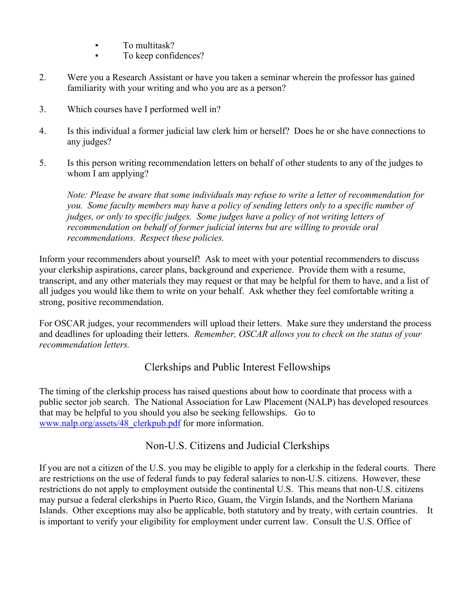- To multitask?
- To keep confidences?
- 2. Were you a Research Assistant or have you taken a seminar wherein the professor has gained familiarity with your writing and who you are as a person?
- 3. Which courses have I performed well in?
- 4. Is this individual a former judicial law clerk him or herself? Does he or she have connections to any judges?
- 5. Is this person writing recommendation letters on behalf of other students to any of the judges to whom I am applying?

*Note: Please be aware that some individuals may refuse to write a letter of recommendation for you. Some faculty members may have a policy of sending letters only to a specific number of judges, or only to specific judges. Some judges have a policy of not writing letters of recommendation on behalf of former judicial interns but are willing to provide oral recommendations. Respect these policies.*

Inform your recommenders about yourself! Ask to meet with your potential recommenders to discuss your clerkship aspirations, career plans, background and experience. Provide them with a resume, transcript, and any other materials they may request or that may be helpful for them to have, and a list of all judges you would like them to write on your behalf. Ask whether they feel comfortable writing a strong, positive recommendation.

For OSCAR judges, your recommenders will upload their letters. Make sure they understand the process and deadlines for uploading their letters. *Remember, OSCAR allows you to check on the status of your recommendation letters.*

# Clerkships and Public Interest Fellowships

The timing of the clerkship process has raised questions about how to coordinate that process with a public sector job search. The National Association for Law Placement (NALP) has developed resources that may be helpful to you should you also be seeking fellowships. Go to www.nalp.org/assets/48\_clerkpub.pdf for more information.

# Non-U.S. Citizens and Judicial Clerkships

If you are not a citizen of the U.S. you may be eligible to apply for a clerkship in the federal courts. There are restrictions on the use of federal funds to pay federal salaries to non-U.S. citizens. However, these restrictions do not apply to employment outside the continental U.S. This means that non-U.S. citizens may pursue a federal clerkships in Puerto Rico, Guam, the Virgin Islands, and the Northern Mariana Islands. Other exceptions may also be applicable, both statutory and by treaty, with certain countries. It is important to verify your eligibility for employment under current law. Consult the U.S. Office of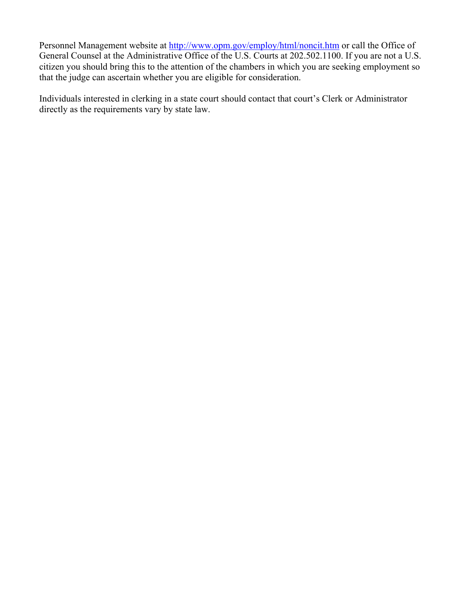Personnel Management website at http://www.opm.gov/employ/html/noncit.htm or call the Office of General Counsel at the Administrative Office of the U.S. Courts at 202.502.1100. If you are not a U.S. citizen you should bring this to the attention of the chambers in which you are seeking employment so that the judge can ascertain whether you are eligible for consideration.

Individuals interested in clerking in a state court should contact that court's Clerk or Administrator directly as the requirements vary by state law.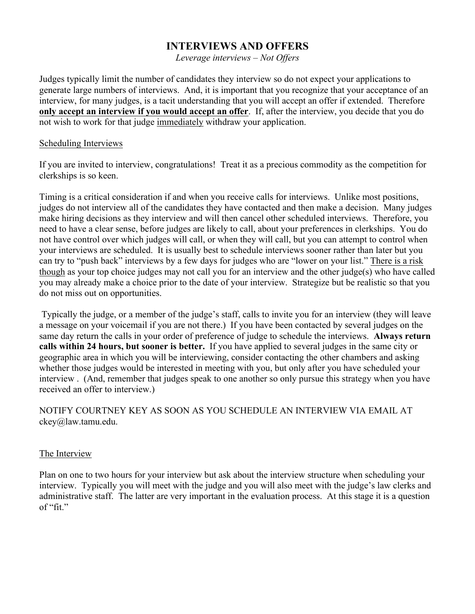# **INTERVIEWS AND OFFERS**

*Leverage interviews – Not Offers*

Judges typically limit the number of candidates they interview so do not expect your applications to generate large numbers of interviews. And, it is important that you recognize that your acceptance of an interview, for many judges, is a tacit understanding that you will accept an offer if extended. Therefore **only accept an interview if you would accept an offer**. If, after the interview, you decide that you do not wish to work for that judge immediately withdraw your application.

### Scheduling Interviews

If you are invited to interview, congratulations! Treat it as a precious commodity as the competition for clerkships is so keen.

Timing is a critical consideration if and when you receive calls for interviews. Unlike most positions, judges do not interview all of the candidates they have contacted and then make a decision. Many judges make hiring decisions as they interview and will then cancel other scheduled interviews. Therefore, you need to have a clear sense, before judges are likely to call, about your preferences in clerkships. You do not have control over which judges will call, or when they will call, but you can attempt to control when your interviews are scheduled. It is usually best to schedule interviews sooner rather than later but you can try to "push back" interviews by a few days for judges who are "lower on your list." There is a risk though as your top choice judges may not call you for an interview and the other judge(s) who have called you may already make a choice prior to the date of your interview. Strategize but be realistic so that you do not miss out on opportunities.

Typically the judge, or a member of the judge's staff, calls to invite you for an interview (they will leave a message on your voicemail if you are not there.) If you have been contacted by several judges on the same day return the calls in your order of preference of judge to schedule the interviews. **Always return calls within 24 hours, but sooner is better.** If you have applied to several judges in the same city or geographic area in which you will be interviewing, consider contacting the other chambers and asking whether those judges would be interested in meeting with you, but only after you have scheduled your interview . (And, remember that judges speak to one another so only pursue this strategy when you have received an offer to interview.)

# NOTIFY COURTNEY KEY AS SOON AS YOU SCHEDULE AN INTERVIEW VIA EMAIL AT ckey@law.tamu.edu.

# The Interview

Plan on one to two hours for your interview but ask about the interview structure when scheduling your interview. Typically you will meet with the judge and you will also meet with the judge's law clerks and administrative staff. The latter are very important in the evaluation process. At this stage it is a question of "fit."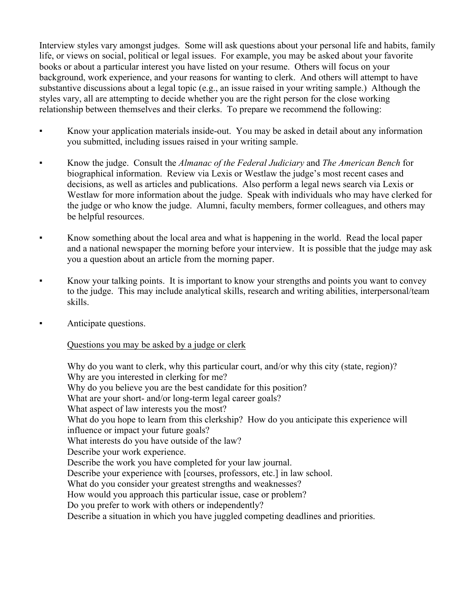Interview styles vary amongst judges. Some will ask questions about your personal life and habits, family life, or views on social, political or legal issues. For example, you may be asked about your favorite books or about a particular interest you have listed on your resume. Others will focus on your background, work experience, and your reasons for wanting to clerk. And others will attempt to have substantive discussions about a legal topic (e.g., an issue raised in your writing sample.) Although the styles vary, all are attempting to decide whether you are the right person for the close working relationship between themselves and their clerks. To prepare we recommend the following:

- Know your application materials inside-out. You may be asked in detail about any information you submitted, including issues raised in your writing sample.
- Know the judge. Consult the *Almanac of the Federal Judiciary* and *The American Bench* for biographical information. Review via Lexis or Westlaw the judge's most recent cases and decisions, as well as articles and publications. Also perform a legal news search via Lexis or Westlaw for more information about the judge. Speak with individuals who may have clerked for the judge or who know the judge. Alumni, faculty members, former colleagues, and others may be helpful resources.
- Know something about the local area and what is happening in the world. Read the local paper and a national newspaper the morning before your interview. It is possible that the judge may ask you a question about an article from the morning paper.
- Know your talking points. It is important to know your strengths and points you want to convey to the judge. This may include analytical skills, research and writing abilities, interpersonal/team skills.
- Anticipate questions.

# Questions you may be asked by a judge or clerk

Why do you want to clerk, why this particular court, and/or why this city (state, region)? Why are you interested in clerking for me? Why do you believe you are the best candidate for this position? What are your short- and/or long-term legal career goals? What aspect of law interests you the most? What do you hope to learn from this clerkship? How do you anticipate this experience will influence or impact your future goals? What interests do you have outside of the law? Describe your work experience. Describe the work you have completed for your law journal. Describe your experience with [courses, professors, etc.] in law school. What do you consider your greatest strengths and weaknesses? How would you approach this particular issue, case or problem? Do you prefer to work with others or independently? Describe a situation in which you have juggled competing deadlines and priorities.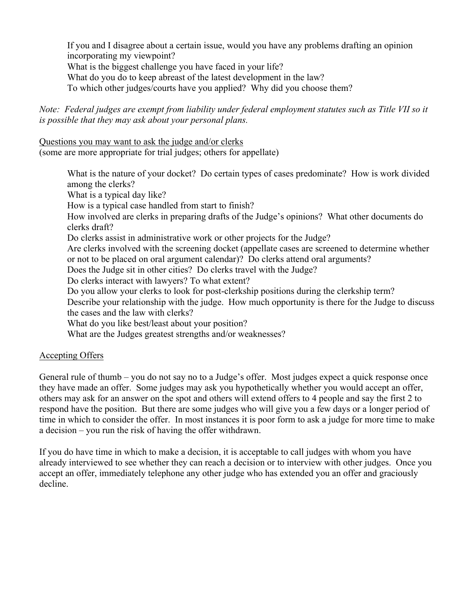If you and I disagree about a certain issue, would you have any problems drafting an opinion incorporating my viewpoint? What is the biggest challenge you have faced in your life? What do you do to keep abreast of the latest development in the law? To which other judges/courts have you applied? Why did you choose them?

*Note: Federal judges are exempt from liability under federal employment statutes such as Title VII so it is possible that they may ask about your personal plans.*

Questions you may want to ask the judge and/or clerks (some are more appropriate for trial judges; others for appellate)

> What is the nature of your docket? Do certain types of cases predominate? How is work divided among the clerks?

What is a typical day like?

How is a typical case handled from start to finish?

How involved are clerks in preparing drafts of the Judge's opinions? What other documents do clerks draft?

Do clerks assist in administrative work or other projects for the Judge?

Are clerks involved with the screening docket (appellate cases are screened to determine whether or not to be placed on oral argument calendar)? Do clerks attend oral arguments?

Does the Judge sit in other cities? Do clerks travel with the Judge?

Do clerks interact with lawyers? To what extent?

Do you allow your clerks to look for post-clerkship positions during the clerkship term?

Describe your relationship with the judge. How much opportunity is there for the Judge to discuss the cases and the law with clerks?

What do you like best/least about your position?

What are the Judges greatest strengths and/or weaknesses?

# Accepting Offers

General rule of thumb – you do not say no to a Judge's offer. Most judges expect a quick response once they have made an offer. Some judges may ask you hypothetically whether you would accept an offer, others may ask for an answer on the spot and others will extend offers to 4 people and say the first 2 to respond have the position. But there are some judges who will give you a few days or a longer period of time in which to consider the offer. In most instances it is poor form to ask a judge for more time to make a decision – you run the risk of having the offer withdrawn.

If you do have time in which to make a decision, it is acceptable to call judges with whom you have already interviewed to see whether they can reach a decision or to interview with other judges. Once you accept an offer, immediately telephone any other judge who has extended you an offer and graciously decline.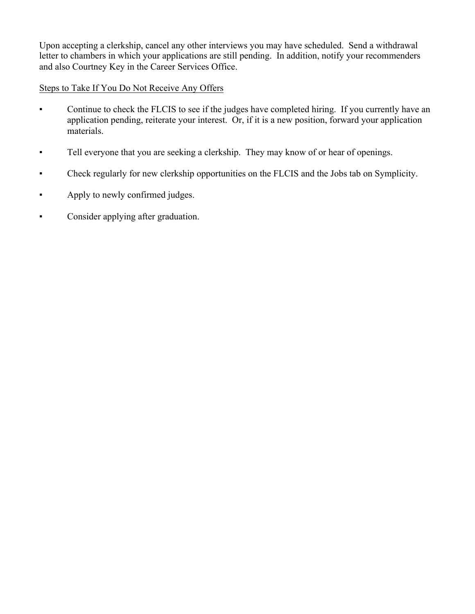Upon accepting a clerkship, cancel any other interviews you may have scheduled. Send a withdrawal letter to chambers in which your applications are still pending. In addition, notify your recommenders and also Courtney Key in the Career Services Office.

# Steps to Take If You Do Not Receive Any Offers

- Continue to check the FLCIS to see if the judges have completed hiring. If you currently have an application pending, reiterate your interest. Or, if it is a new position, forward your application materials.
- Tell everyone that you are seeking a clerkship. They may know of or hear of openings.
- Check regularly for new clerkship opportunities on the FLCIS and the Jobs tab on Symplicity.
- Apply to newly confirmed judges.
- **•** Consider applying after graduation.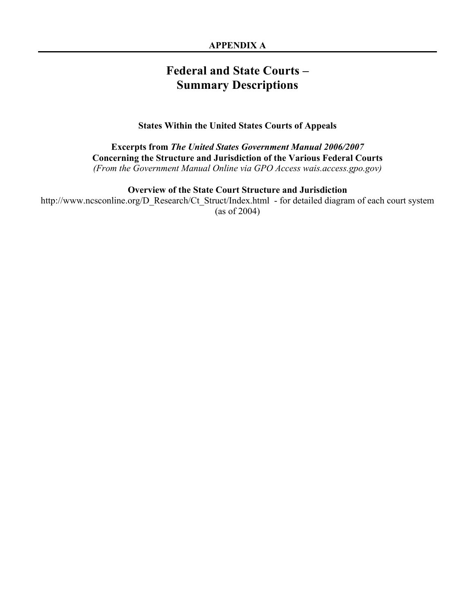# **Federal and State Courts – Summary Descriptions**

# **States Within the United States Courts of Appeals**

**Excerpts from** *The United States Government Manual 2006/2007*  **Concerning the Structure and Jurisdiction of the Various Federal Courts** *(From the Government Manual Online via GPO Access wais.access.gpo.gov)*

**Overview of the State Court Structure and Jurisdiction**

http://www.ncsconline.org/D\_Research/Ct\_Struct/Index.html - for detailed diagram of each court system (as of 2004)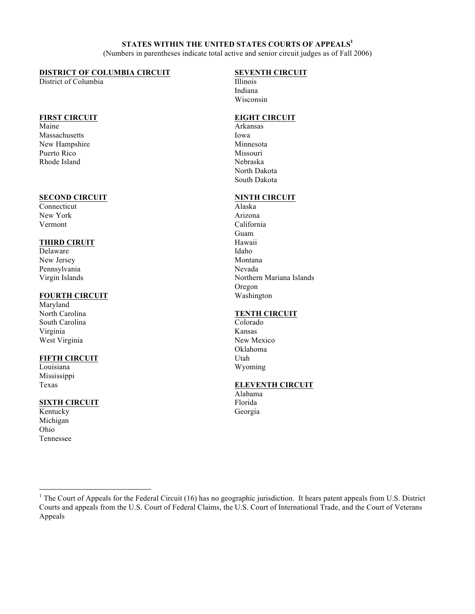### **STATES WITHIN THE UNITED STATES COURTS OF APPEALS<sup>1</sup>**

(Numbers in parentheses indicate total active and senior circuit judges as of Fall 2006)

# **DISTRICT OF COLUMBIA CIRCUIT**<br>District of Columbia<br>**EXECUIT**<br>Illinois

District of Columbia

#### **FIRST CIRCUIT EIGHT CIRCUIT**

Maine Arkansas Massachusetts Iowa New Hampshire Minnesota Puerto Rico Missouri Rhode Island Nebraska

#### **SECOND CIRCUIT NINTH CIRCUIT**

Connecticut Alaska New York Arizona Vermont California

#### **THIRD CIRUIT** Hawaii

Delaware Idaho New Jersey Montana Pennsylvania Nevada

#### **FOURTH CIRCUIT** Washington

Maryland South Carolina Colorado Virginia Kansas West Virginia New Mexico

#### **FIFTH CIRCUIT** Utah

Mississippi

#### **SIXTH CIRCUIT** Florida

Kentucky Georgia Michigan Ohio Tennessee

Indiana Wisconsin

North Dakota South Dakota

Guam Virgin Islands Northern Mariana Islands Oregon

#### North Carolina **TENTH CIRCUIT**

Oklahoma Louisiana Wyoming

#### Texas **ELEVENTH CIRCUIT**

Alabama

 $1$  The Court of Appeals for the Federal Circuit (16) has no geographic jurisdiction. It hears patent appeals from U.S. District Courts and appeals from the U.S. Court of Federal Claims, the U.S. Court of International Trade, and the Court of Veterans Appeals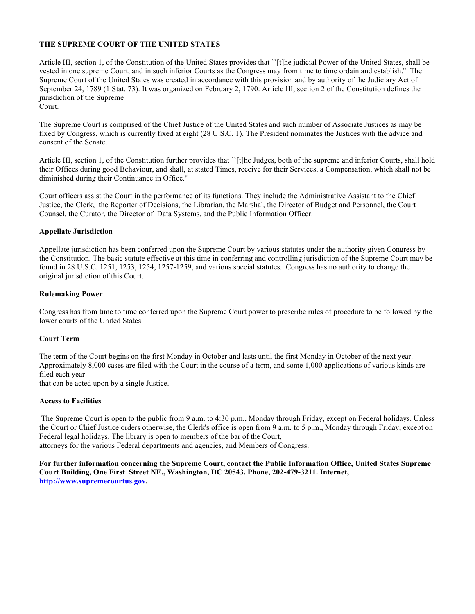#### **THE SUPREME COURT OF THE UNITED STATES**

Article III, section 1, of the Constitution of the United States provides that ``[t]he judicial Power of the United States, shall be vested in one supreme Court, and in such inferior Courts as the Congress may from time to time ordain and establish.'' The Supreme Court of the United States was created in accordance with this provision and by authority of the Judiciary Act of September 24, 1789 (1 Stat. 73). It was organized on February 2, 1790. Article III, section 2 of the Constitution defines the jurisdiction of the Supreme

Court.

The Supreme Court is comprised of the Chief Justice of the United States and such number of Associate Justices as may be fixed by Congress, which is currently fixed at eight (28 U.S.C. 1). The President nominates the Justices with the advice and consent of the Senate.

Article III, section 1, of the Constitution further provides that ``[t]he Judges, both of the supreme and inferior Courts, shall hold their Offices during good Behaviour, and shall, at stated Times, receive for their Services, a Compensation, which shall not be diminished during their Continuance in Office.''

Court officers assist the Court in the performance of its functions. They include the Administrative Assistant to the Chief Justice, the Clerk, the Reporter of Decisions, the Librarian, the Marshal, the Director of Budget and Personnel, the Court Counsel, the Curator, the Director of Data Systems, and the Public Information Officer.

#### **Appellate Jurisdiction**

Appellate jurisdiction has been conferred upon the Supreme Court by various statutes under the authority given Congress by the Constitution. The basic statute effective at this time in conferring and controlling jurisdiction of the Supreme Court may be found in 28 U.S.C. 1251, 1253, 1254, 1257-1259, and various special statutes. Congress has no authority to change the original jurisdiction of this Court.

#### **Rulemaking Power**

Congress has from time to time conferred upon the Supreme Court power to prescribe rules of procedure to be followed by the lower courts of the United States.

#### **Court Term**

The term of the Court begins on the first Monday in October and lasts until the first Monday in October of the next year. Approximately 8,000 cases are filed with the Court in the course of a term, and some 1,000 applications of various kinds are filed each year

that can be acted upon by a single Justice.

#### **Access to Facilities**

The Supreme Court is open to the public from 9 a.m. to 4:30 p.m., Monday through Friday, except on Federal holidays. Unless the Court or Chief Justice orders otherwise, the Clerk's office is open from 9 a.m. to 5 p.m., Monday through Friday, except on Federal legal holidays. The library is open to members of the bar of the Court, attorneys for the various Federal departments and agencies, and Members of Congress.

**For further information concerning the Supreme Court, contact the Public Information Office, United States Supreme Court Building, One First Street NE., Washington, DC 20543. Phone, 202-479-3211. Internet, http://www.supremecourtus.gov.**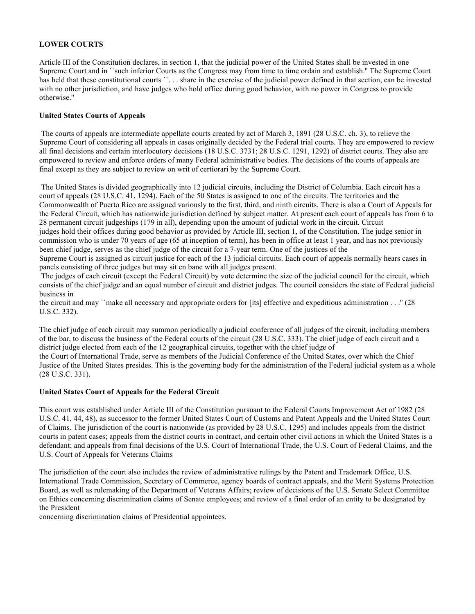#### **LOWER COURTS**

Article III of the Constitution declares, in section 1, that the judicial power of the United States shall be invested in one Supreme Court and in ``such inferior Courts as the Congress may from time to time ordain and establish.'' The Supreme Court has held that these constitutional courts ``... share in the exercise of the judicial power defined in that section, can be invested with no other jurisdiction, and have judges who hold office during good behavior, with no power in Congress to provide otherwise.''

#### **United States Courts of Appeals**

The courts of appeals are intermediate appellate courts created by act of March 3, 1891 (28 U.S.C. ch. 3), to relieve the Supreme Court of considering all appeals in cases originally decided by the Federal trial courts. They are empowered to review all final decisions and certain interlocutory decisions (18 U.S.C. 3731; 28 U.S.C. 1291, 1292) of district courts. They also are empowered to review and enforce orders of many Federal administrative bodies. The decisions of the courts of appeals are final except as they are subject to review on writ of certiorari by the Supreme Court.

The United States is divided geographically into 12 judicial circuits, including the District of Columbia. Each circuit has a court of appeals (28 U.S.C. 41, 1294). Each of the 50 States is assigned to one of the circuits. The territories and the Commonwealth of Puerto Rico are assigned variously to the first, third, and ninth circuits. There is also a Court of Appeals for the Federal Circuit, which has nationwide jurisdiction defined by subject matter. At present each court of appeals has from 6 to 28 permanent circuit judgeships (179 in all), depending upon the amount of judicial work in the circuit. Circuit judges hold their offices during good behavior as provided by Article III, section 1, of the Constitution. The judge senior in commission who is under 70 years of age (65 at inception of term), has been in office at least 1 year, and has not previously been chief judge, serves as the chief judge of the circuit for a 7-year term. One of the justices of the

Supreme Court is assigned as circuit justice for each of the 13 judicial circuits. Each court of appeals normally hears cases in panels consisting of three judges but may sit en banc with all judges present.

The judges of each circuit (except the Federal Circuit) by vote determine the size of the judicial council for the circuit, which consists of the chief judge and an equal number of circuit and district judges. The council considers the state of Federal judicial business in

the circuit and may ``make all necessary and appropriate orders for [its] effective and expeditious administration . . .'' (28 U.S.C. 332).

The chief judge of each circuit may summon periodically a judicial conference of all judges of the circuit, including members of the bar, to discuss the business of the Federal courts of the circuit (28 U.S.C. 333). The chief judge of each circuit and a district judge elected from each of the 12 geographical circuits, together with the chief judge of the Court of International Trade, serve as members of the Judicial Conference of the United States, over which the Chief

Justice of the United States presides. This is the governing body for the administration of the Federal judicial system as a whole (28 U.S.C. 331).

#### **United States Court of Appeals for the Federal Circuit**

This court was established under Article III of the Constitution pursuant to the Federal Courts Improvement Act of 1982 (28 U.S.C. 41, 44, 48), as successor to the former United States Court of Customs and Patent Appeals and the United States Court of Claims. The jurisdiction of the court is nationwide (as provided by 28 U.S.C. 1295) and includes appeals from the district courts in patent cases; appeals from the district courts in contract, and certain other civil actions in which the United States is a defendant; and appeals from final decisions of the U.S. Court of International Trade, the U.S. Court of Federal Claims, and the U.S. Court of Appeals for Veterans Claims

The jurisdiction of the court also includes the review of administrative rulings by the Patent and Trademark Office, U.S. International Trade Commission, Secretary of Commerce, agency boards of contract appeals, and the Merit Systems Protection Board, as well as rulemaking of the Department of Veterans Affairs; review of decisions of the U.S. Senate Select Committee on Ethics concerning discrimination claims of Senate employees; and review of a final order of an entity to be designated by the President

concerning discrimination claims of Presidential appointees.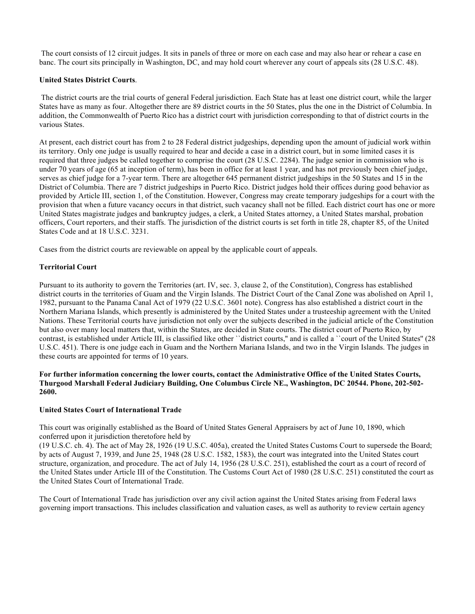The court consists of 12 circuit judges. It sits in panels of three or more on each case and may also hear or rehear a case en banc. The court sits principally in Washington, DC, and may hold court wherever any court of appeals sits (28 U.S.C. 48).

#### **United States District Courts**.

The district courts are the trial courts of general Federal jurisdiction. Each State has at least one district court, while the larger States have as many as four. Altogether there are 89 district courts in the 50 States, plus the one in the District of Columbia. In addition, the Commonwealth of Puerto Rico has a district court with jurisdiction corresponding to that of district courts in the various States.

At present, each district court has from 2 to 28 Federal district judgeships, depending upon the amount of judicial work within its territory. Only one judge is usually required to hear and decide a case in a district court, but in some limited cases it is required that three judges be called together to comprise the court (28 U.S.C. 2284). The judge senior in commission who is under 70 years of age (65 at inception of term), has been in office for at least 1 year, and has not previously been chief judge, serves as chief judge for a 7-year term. There are altogether 645 permanent district judgeships in the 50 States and 15 in the District of Columbia. There are 7 district judgeships in Puerto Rico. District judges hold their offices during good behavior as provided by Article III, section 1, of the Constitution. However, Congress may create temporary judgeships for a court with the provision that when a future vacancy occurs in that district, such vacancy shall not be filled. Each district court has one or more United States magistrate judges and bankruptcy judges, a clerk, a United States attorney, a United States marshal, probation officers, Court reporters, and their staffs. The jurisdiction of the district courts is set forth in title 28, chapter 85, of the United States Code and at 18 U.S.C. 3231.

Cases from the district courts are reviewable on appeal by the applicable court of appeals.

#### **Territorial Court**

Pursuant to its authority to govern the Territories (art. IV, sec. 3, clause 2, of the Constitution), Congress has established district courts in the territories of Guam and the Virgin Islands. The District Court of the Canal Zone was abolished on April 1, 1982, pursuant to the Panama Canal Act of 1979 (22 U.S.C. 3601 note). Congress has also established a district court in the Northern Mariana Islands, which presently is administered by the United States under a trusteeship agreement with the United Nations. These Territorial courts have jurisdiction not only over the subjects described in the judicial article of the Constitution but also over many local matters that, within the States, are decided in State courts. The district court of Puerto Rico, by contrast, is established under Article III, is classified like other ``district courts,'' and is called a ``court of the United States'' (28 U.S.C. 451). There is one judge each in Guam and the Northern Mariana Islands, and two in the Virgin Islands. The judges in these courts are appointed for terms of 10 years.

#### **For further information concerning the lower courts, contact the Administrative Office of the United States Courts, Thurgood Marshall Federal Judiciary Building, One Columbus Circle NE., Washington, DC 20544. Phone, 202-502- 2600.**

#### **United States Court of International Trade**

This court was originally established as the Board of United States General Appraisers by act of June 10, 1890, which conferred upon it jurisdiction theretofore held by

(19 U.S.C. ch. 4). The act of May 28, 1926 (19 U.S.C. 405a), created the United States Customs Court to supersede the Board; by acts of August 7, 1939, and June 25, 1948 (28 U.S.C. 1582, 1583), the court was integrated into the United States court structure, organization, and procedure. The act of July 14, 1956 (28 U.S.C. 251), established the court as a court of record of the United States under Article III of the Constitution. The Customs Court Act of 1980 (28 U.S.C. 251) constituted the court as the United States Court of International Trade.

The Court of International Trade has jurisdiction over any civil action against the United States arising from Federal laws governing import transactions. This includes classification and valuation cases, as well as authority to review certain agency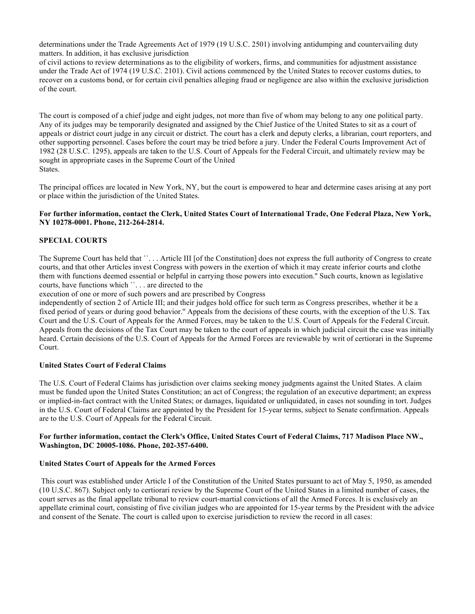determinations under the Trade Agreements Act of 1979 (19 U.S.C. 2501) involving antidumping and countervailing duty matters. In addition, it has exclusive jurisdiction

of civil actions to review determinations as to the eligibility of workers, firms, and communities for adjustment assistance under the Trade Act of 1974 (19 U.S.C. 2101). Civil actions commenced by the United States to recover customs duties, to recover on a customs bond, or for certain civil penalties alleging fraud or negligence are also within the exclusive jurisdiction of the court.

The court is composed of a chief judge and eight judges, not more than five of whom may belong to any one political party. Any of its judges may be temporarily designated and assigned by the Chief Justice of the United States to sit as a court of appeals or district court judge in any circuit or district. The court has a clerk and deputy clerks, a librarian, court reporters, and other supporting personnel. Cases before the court may be tried before a jury. Under the Federal Courts Improvement Act of 1982 (28 U.S.C. 1295), appeals are taken to the U.S. Court of Appeals for the Federal Circuit, and ultimately review may be sought in appropriate cases in the Supreme Court of the United States.

The principal offices are located in New York, NY, but the court is empowered to hear and determine cases arising at any port or place within the jurisdiction of the United States.

#### **For further information, contact the Clerk, United States Court of International Trade, One Federal Plaza, New York, NY 10278-0001. Phone, 212-264-2814.**

#### **SPECIAL COURTS**

The Supreme Court has held that ``. . . Article III [of the Constitution] does not express the full authority of Congress to create courts, and that other Articles invest Congress with powers in the exertion of which it may create inferior courts and clothe them with functions deemed essential or helpful in carrying those powers into execution.'' Such courts, known as legislative courts, have functions which ``. . . are directed to the

execution of one or more of such powers and are prescribed by Congress

independently of section 2 of Article III; and their judges hold office for such term as Congress prescribes, whether it be a fixed period of years or during good behavior.'' Appeals from the decisions of these courts, with the exception of the U.S. Tax Court and the U.S. Court of Appeals for the Armed Forces, may be taken to the U.S. Court of Appeals for the Federal Circuit. Appeals from the decisions of the Tax Court may be taken to the court of appeals in which judicial circuit the case was initially heard. Certain decisions of the U.S. Court of Appeals for the Armed Forces are reviewable by writ of certiorari in the Supreme Court.

#### **United States Court of Federal Claims**

The U.S. Court of Federal Claims has jurisdiction over claims seeking money judgments against the United States. A claim must be funded upon the United States Constitution; an act of Congress; the regulation of an executive department; an express or implied-in-fact contract with the United States; or damages, liquidated or unliquidated, in cases not sounding in tort. Judges in the U.S. Court of Federal Claims are appointed by the President for 15-year terms, subject to Senate confirmation. Appeals are to the U.S. Court of Appeals for the Federal Circuit.

#### **For further information, contact the Clerk's Office, United States Court of Federal Claims, 717 Madison Place NW., Washington, DC 20005-1086. Phone, 202-357-6400.**

#### **United States Court of Appeals for the Armed Forces**

This court was established under Article I of the Constitution of the United States pursuant to act of May 5, 1950, as amended (10 U.S.C. 867). Subject only to certiorari review by the Supreme Court of the United States in a limited number of cases, the court serves as the final appellate tribunal to review court-martial convictions of all the Armed Forces. It is exclusively an appellate criminal court, consisting of five civilian judges who are appointed for 15-year terms by the President with the advice and consent of the Senate. The court is called upon to exercise jurisdiction to review the record in all cases: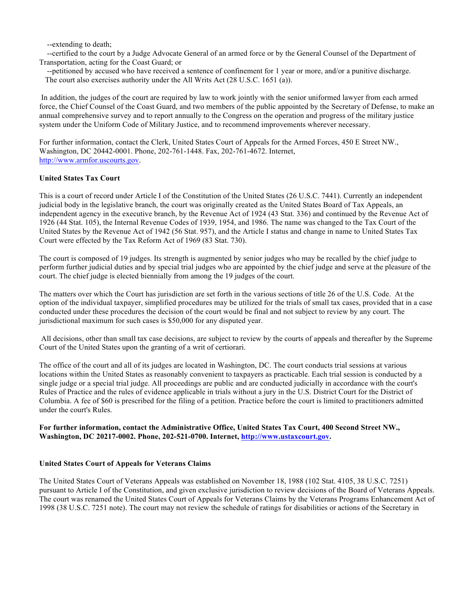--extending to death;

 --certified to the court by a Judge Advocate General of an armed force or by the General Counsel of the Department of Transportation, acting for the Coast Guard; or

 --petitioned by accused who have received a sentence of confinement for 1 year or more, and/or a punitive discharge. The court also exercises authority under the All Writs Act (28 U.S.C. 1651 (a)).

In addition, the judges of the court are required by law to work jointly with the senior uniformed lawyer from each armed force, the Chief Counsel of the Coast Guard, and two members of the public appointed by the Secretary of Defense, to make an annual comprehensive survey and to report annually to the Congress on the operation and progress of the military justice system under the Uniform Code of Military Justice, and to recommend improvements wherever necessary.

For further information, contact the Clerk, United States Court of Appeals for the Armed Forces, 450 E Street NW., Washington, DC 20442-0001. Phone, 202-761-1448. Fax, 202-761-4672. Internet, http://www.armfor.uscourts.gov.

#### **United States Tax Court**

This is a court of record under Article I of the Constitution of the United States (26 U.S.C. 7441). Currently an independent judicial body in the legislative branch, the court was originally created as the United States Board of Tax Appeals, an independent agency in the executive branch, by the Revenue Act of 1924 (43 Stat. 336) and continued by the Revenue Act of 1926 (44 Stat. 105), the Internal Revenue Codes of 1939, 1954, and 1986. The name was changed to the Tax Court of the United States by the Revenue Act of 1942 (56 Stat. 957), and the Article I status and change in name to United States Tax Court were effected by the Tax Reform Act of 1969 (83 Stat. 730).

The court is composed of 19 judges. Its strength is augmented by senior judges who may be recalled by the chief judge to perform further judicial duties and by special trial judges who are appointed by the chief judge and serve at the pleasure of the court. The chief judge is elected biennially from among the 19 judges of the court.

The matters over which the Court has jurisdiction are set forth in the various sections of title 26 of the U.S. Code. At the option of the individual taxpayer, simplified procedures may be utilized for the trials of small tax cases, provided that in a case conducted under these procedures the decision of the court would be final and not subject to review by any court. The jurisdictional maximum for such cases is \$50,000 for any disputed year.

All decisions, other than small tax case decisions, are subject to review by the courts of appeals and thereafter by the Supreme Court of the United States upon the granting of a writ of certiorari.

The office of the court and all of its judges are located in Washington, DC. The court conducts trial sessions at various locations within the United States as reasonably convenient to taxpayers as practicable. Each trial session is conducted by a single judge or a special trial judge. All proceedings are public and are conducted judicially in accordance with the court's Rules of Practice and the rules of evidence applicable in trials without a jury in the U.S. District Court for the District of Columbia. A fee of \$60 is prescribed for the filing of a petition. Practice before the court is limited to practitioners admitted under the court's Rules.

**For further information, contact the Administrative Office, United States Tax Court, 400 Second Street NW., Washington, DC 20217-0002. Phone, 202-521-0700. Internet, http://www.ustaxcourt.gov.**

#### **United States Court of Appeals for Veterans Claims**

The United States Court of Veterans Appeals was established on November 18, 1988 (102 Stat. 4105, 38 U.S.C. 7251) pursuant to Article I of the Constitution, and given exclusive jurisdiction to review decisions of the Board of Veterans Appeals. The court was renamed the United States Court of Appeals for Veterans Claims by the Veterans Programs Enhancement Act of 1998 (38 U.S.C. 7251 note). The court may not review the schedule of ratings for disabilities or actions of the Secretary in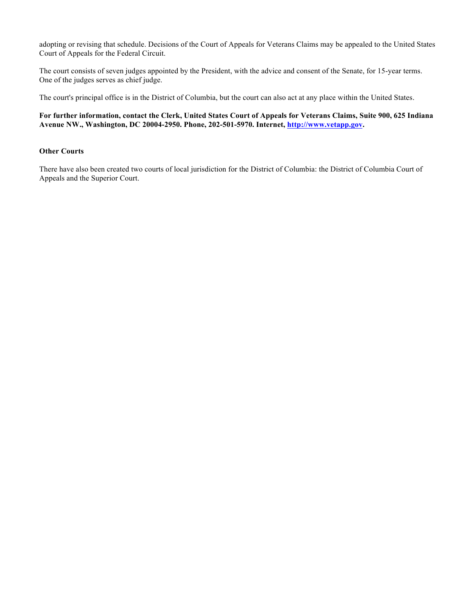adopting or revising that schedule. Decisions of the Court of Appeals for Veterans Claims may be appealed to the United States Court of Appeals for the Federal Circuit.

The court consists of seven judges appointed by the President, with the advice and consent of the Senate, for 15-year terms. One of the judges serves as chief judge.

The court's principal office is in the District of Columbia, but the court can also act at any place within the United States.

#### **For further information, contact the Clerk, United States Court of Appeals for Veterans Claims, Suite 900, 625 Indiana Avenue NW., Washington, DC 20004-2950. Phone, 202-501-5970. Internet, http://www.vetapp.gov.**

#### **Other Courts**

There have also been created two courts of local jurisdiction for the District of Columbia: the District of Columbia Court of Appeals and the Superior Court.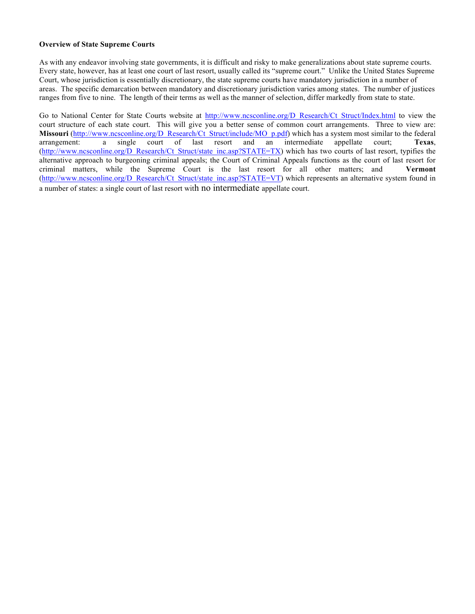#### **Overview of State Supreme Courts**

As with any endeavor involving state governments, it is difficult and risky to make generalizations about state supreme courts. Every state, however, has at least one court of last resort, usually called its "supreme court." Unlike the United States Supreme Court, whose jurisdiction is essentially discretionary, the state supreme courts have mandatory jurisdiction in a number of areas. The specific demarcation between mandatory and discretionary jurisdiction varies among states. The number of justices ranges from five to nine. The length of their terms as well as the manner of selection, differ markedly from state to state.

Go to National Center for State Courts website at http://www.ncsconline.org/D\_Research/Ct\_Struct/Index.html to view the court structure of each state court. This will give you a better sense of common court arrangements. Three to view are: **Missouri** (http://www.ncsconline.org/D\_Research/Ct\_Struct/include/MO\_p.pdf) which has a system most similar to the federal arrangement: a single court of last resort and an intermediate appellate court; **Texas**, (http://www.ncsconline.org/D\_Research/Ct\_Struct/state\_inc.asp?STATE=TX) which has two courts of last resort, typifies the alternative approach to burgeoning criminal appeals; the Court of Criminal Appeals functions as the court of last resort for criminal matters, while the Supreme Court is the last resort for all other matters; and **Vermont** (http://www.ncsconline.org/D\_Research/Ct\_Struct/state\_inc.asp?STATE=VT) which represents an alternative system found in a number of states: a single court of last resort with no intermediate appellate court.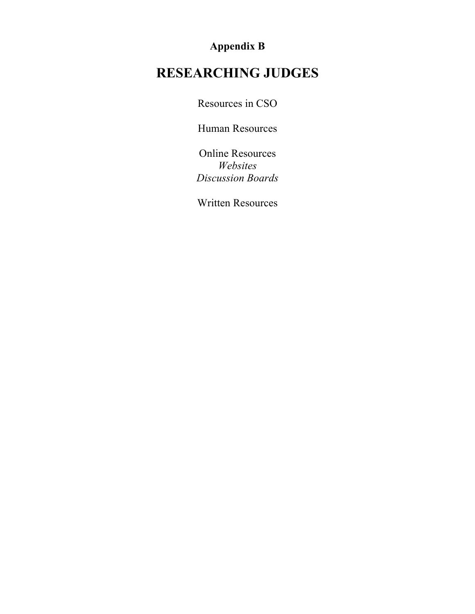# **Appendix B**

# **RESEARCHING JUDGES**

Resources in CSO

Human Resources

Online Resources *Websites Discussion Boards*

Written Resources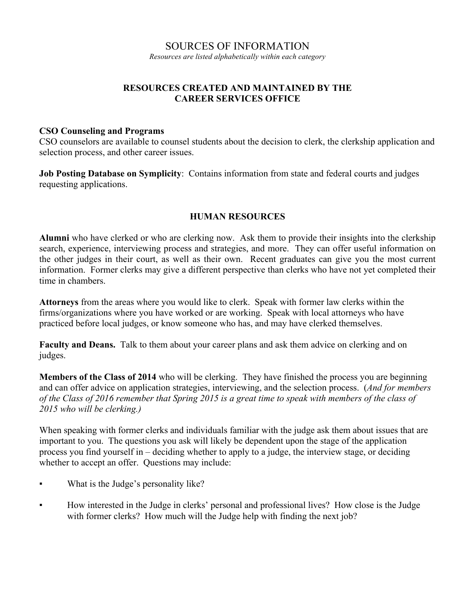# SOURCES OF INFORMATION

*Resources are listed alphabetically within each category*

# **RESOURCES CREATED AND MAINTAINED BY THE CAREER SERVICES OFFICE**

### **CSO Counseling and Programs**

CSO counselors are available to counsel students about the decision to clerk, the clerkship application and selection process, and other career issues.

**Job Posting Database on Symplicity**: Contains information from state and federal courts and judges requesting applications.

# **HUMAN RESOURCES**

**Alumni** who have clerked or who are clerking now. Ask them to provide their insights into the clerkship search, experience, interviewing process and strategies, and more. They can offer useful information on the other judges in their court, as well as their own. Recent graduates can give you the most current information. Former clerks may give a different perspective than clerks who have not yet completed their time in chambers.

**Attorneys** from the areas where you would like to clerk. Speak with former law clerks within the firms/organizations where you have worked or are working. Speak with local attorneys who have practiced before local judges, or know someone who has, and may have clerked themselves.

**Faculty and Deans.** Talk to them about your career plans and ask them advice on clerking and on judges.

**Members of the Class of 2014** who will be clerking. They have finished the process you are beginning and can offer advice on application strategies, interviewing, and the selection process. (*And for members of the Class of 2016 remember that Spring 2015 is a great time to speak with members of the class of 2015 who will be clerking.)*

When speaking with former clerks and individuals familiar with the judge ask them about issues that are important to you. The questions you ask will likely be dependent upon the stage of the application process you find yourself in – deciding whether to apply to a judge, the interview stage, or deciding whether to accept an offer. Questions may include:

- What is the Judge's personality like?
- How interested in the Judge in clerks' personal and professional lives? How close is the Judge with former clerks? How much will the Judge help with finding the next job?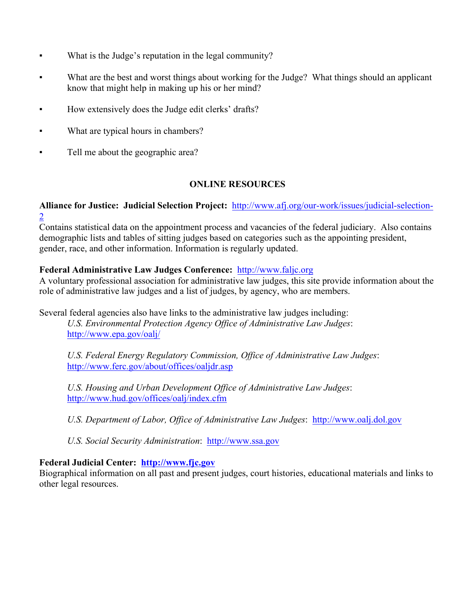- What is the Judge's reputation in the legal community?
- What are the best and worst things about working for the Judge? What things should an applicant know that might help in making up his or her mind?
- How extensively does the Judge edit clerks' drafts?
- What are typical hours in chambers?
- Tell me about the geographic area?

# **ONLINE RESOURCES**

# **Alliance for Justice: Judicial Selection Project:** http://www.afj.org/our-work/issues/judicial-selection-2

Contains statistical data on the appointment process and vacancies of the federal judiciary. Also contains demographic lists and tables of sitting judges based on categories such as the appointing president, gender, race, and other information. Information is regularly updated.

# **Federal Administrative Law Judges Conference:** http://www.faljc.org

A voluntary professional association for administrative law judges, this site provide information about the role of administrative law judges and a list of judges, by agency, who are members.

Several federal agencies also have links to the administrative law judges including:

*U.S. Environmental Protection Agency Office of Administrative Law Judges*: http://www.epa.gov/oalj/

*U.S. Federal Energy Regulatory Commission, Office of Administrative Law Judges*: http://www.ferc.gov/about/offices/oaljdr.asp

*U.S. Housing and Urban Development Office of Administrative Law Judges*: http://www.hud.gov/offices/oalj/index.cfm

*U.S. Department of Labor, Office of Administrative Law Judges*: http://www.oalj.dol.gov

*U.S. Social Security Administration*: http://www.ssa.gov

# **Federal Judicial Center: http://www.fjc.gov**

Biographical information on all past and present judges, court histories, educational materials and links to other legal resources.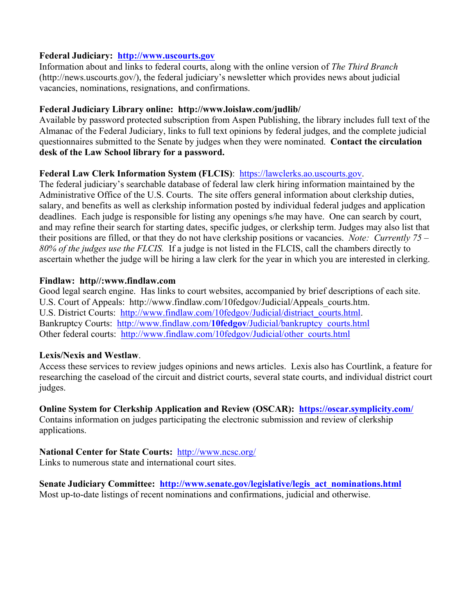# **Federal Judiciary: http://www.uscourts.gov**

Information about and links to federal courts, along with the online version of *The Third Branch*  (http://news.uscourts.gov/), the federal judiciary's newsletter which provides news about judicial vacancies, nominations, resignations, and confirmations.

# **Federal Judiciary Library online: http://www.loislaw.com/judlib/**

Available by password protected subscription from Aspen Publishing, the library includes full text of the Almanac of the Federal Judiciary, links to full text opinions by federal judges, and the complete judicial questionnaires submitted to the Senate by judges when they were nominated. **Contact the circulation desk of the Law School library for a password.** 

# **Federal Law Clerk Information System (FLCIS)**: https://lawclerks.ao.uscourts.gov.

The federal judiciary's searchable database of federal law clerk hiring information maintained by the Administrative Office of the U.S. Courts. The site offers general information about clerkship duties, salary, and benefits as well as clerkship information posted by individual federal judges and application deadlines. Each judge is responsible for listing any openings s/he may have. One can search by court, and may refine their search for starting dates, specific judges, or clerkship term. Judges may also list that their positions are filled, or that they do not have clerkship positions or vacancies. *Note: Currently 75 – 80% of the judges use the FLCIS.* If a judge is not listed in the FLCIS, call the chambers directly to ascertain whether the judge will be hiring a law clerk for the year in which you are interested in clerking.

# **Findlaw: http//:www.findlaw.com**

Good legal search engine. Has links to court websites, accompanied by brief descriptions of each site. U.S. Court of Appeals: http://www.findlaw.com/10fedgov/Judicial/Appeals\_courts.htm. U.S. District Courts: http://www.findlaw.com/10fedgov/Judicial/distriact\_courts.html. Bankruptcy Courts: http://www.findlaw.com/**10fedgov**/Judicial/bankruptcy\_courts.html Other federal courts: http://www.findlaw.com/10fedgov/Judicial/other\_courts.html

# **Lexis/Nexis and Westlaw**.

Access these services to review judges opinions and news articles. Lexis also has Courtlink, a feature for researching the caseload of the circuit and district courts, several state courts, and individual district court judges.

**Online System for Clerkship Application and Review (OSCAR): https://oscar.symplicity.com/** Contains information on judges participating the electronic submission and review of clerkship applications.

# **National Center for State Courts:** http://www.ncsc.org/

Links to numerous state and international court sites.

**Senate Judiciary Committee: http://www.senate.gov/legislative/legis\_act\_nominations.html** Most up-to-date listings of recent nominations and confirmations, judicial and otherwise.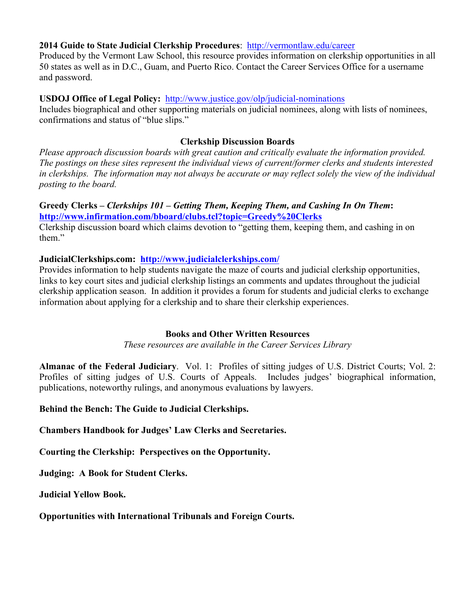# **2014 Guide to State Judicial Clerkship Procedures**: http://vermontlaw.edu/career

Produced by the Vermont Law School, this resource provides information on clerkship opportunities in all 50 states as well as in D.C., Guam, and Puerto Rico. Contact the Career Services Office for a username and password.

### **USDOJ Office of Legal Policy:** http://www.justice.gov/olp/judicial-nominations

Includes biographical and other supporting materials on judicial nominees, along with lists of nominees, confirmations and status of "blue slips."

### **Clerkship Discussion Boards**

*Please approach discussion boards with great caution and critically evaluate the information provided. The postings on these sites represent the individual views of current/former clerks and students interested in clerkships. The information may not always be accurate or may reflect solely the view of the individual posting to the board.*

# **Greedy Clerks –** *Clerkships 101 – Getting Them, Keeping Them, and Cashing In On Them***: http://www.infirmation.com/bboard/clubs.tcl?topic=Greedy%20Clerks**

Clerkship discussion board which claims devotion to "getting them, keeping them, and cashing in on them."

# **JudicialClerkships.com: http://www.judicialclerkships.com/**

Provides information to help students navigate the maze of courts and judicial clerkship opportunities, links to key court sites and judicial clerkship listings an comments and updates throughout the judicial clerkship application season. In addition it provides a forum for students and judicial clerks to exchange information about applying for a clerkship and to share their clerkship experiences.

# **Books and Other Written Resources**

*These resources are available in the Career Services Library* 

**Almanac of the Federal Judiciary**. Vol. 1: Profiles of sitting judges of U.S. District Courts; Vol. 2: Profiles of sitting judges of U.S. Courts of Appeals. Includes judges' biographical information, publications, noteworthy rulings, and anonymous evaluations by lawyers.

# **Behind the Bench: The Guide to Judicial Clerkships.**

**Chambers Handbook for Judges' Law Clerks and Secretaries.**

**Courting the Clerkship: Perspectives on the Opportunity.**

**Judging: A Book for Student Clerks.**

**Judicial Yellow Book.**

**Opportunities with International Tribunals and Foreign Courts.**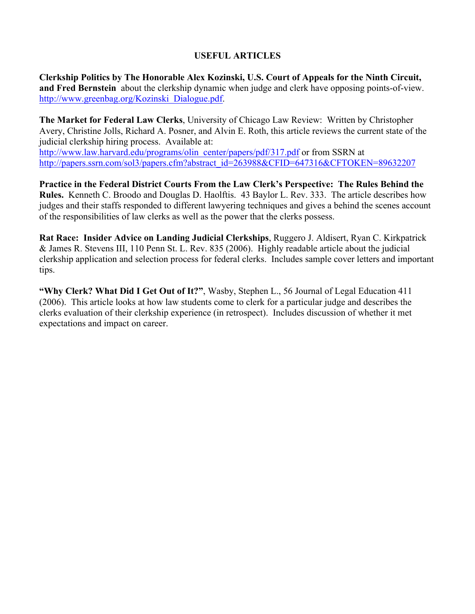# **USEFUL ARTICLES**

**Clerkship Politics by The Honorable Alex Kozinski, U.S. Court of Appeals for the Ninth Circuit, and Fred Bernstein** about the clerkship dynamic when judge and clerk have opposing points-of-view. http://www.greenbag.org/Kozinski\_Dialogue.pdf.

**The Market for Federal Law Clerks**, University of Chicago Law Review: Written by Christopher Avery, Christine Jolls, Richard A. Posner, and Alvin E. Roth, this article reviews the current state of the judicial clerkship hiring process. Available at: http://www.law.harvard.edu/programs/olin\_center/papers/pdf/317.pdf or from SSRN at http://papers.ssrn.com/sol3/papers.cfm?abstract\_id=263988&CFID=647316&CFTOKEN=89632207

**Practice in the Federal District Courts From the Law Clerk's Perspective: The Rules Behind the Rules.** Kenneth C. Broodo and Douglas D. Haolftis. 43 Baylor L. Rev. 333. The article describes how judges and their staffs responded to different lawyering techniques and gives a behind the scenes account of the responsibilities of law clerks as well as the power that the clerks possess.

**Rat Race: Insider Advice on Landing Judicial Clerkships**, Ruggero J. Aldisert, Ryan C. Kirkpatrick & James R. Stevens III, 110 Penn St. L. Rev. 835 (2006). Highly readable article about the judicial clerkship application and selection process for federal clerks. Includes sample cover letters and important tips.

**"Why Clerk? What Did I Get Out of It?"**, Wasby, Stephen L., 56 Journal of Legal Education 411 (2006). This article looks at how law students come to clerk for a particular judge and describes the clerks evaluation of their clerkship experience (in retrospect). Includes discussion of whether it met expectations and impact on career.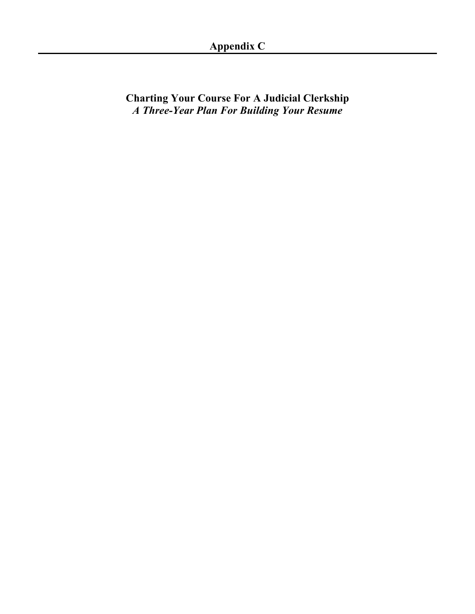**Charting Your Course For A Judicial Clerkship** *A Three-Year Plan For Building Your Resume*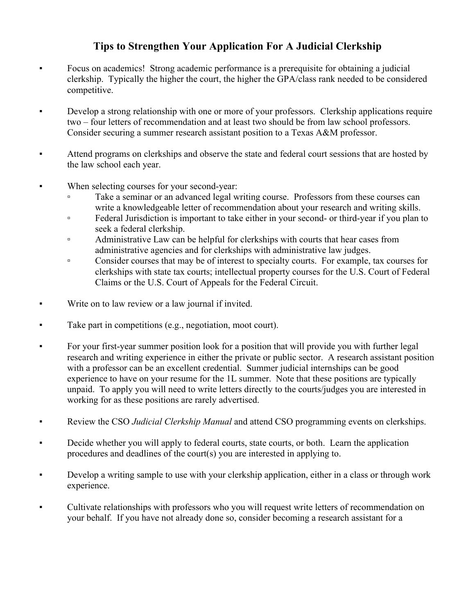# **Tips to Strengthen Your Application For A Judicial Clerkship**

- Focus on academics! Strong academic performance is a prerequisite for obtaining a judicial clerkship. Typically the higher the court, the higher the GPA/class rank needed to be considered competitive.
- Develop a strong relationship with one or more of your professors. Clerkship applications require two – four letters of recommendation and at least two should be from law school professors. Consider securing a summer research assistant position to a Texas A&M professor.
- Attend programs on clerkships and observe the state and federal court sessions that are hosted by the law school each year.
- When selecting courses for your second-year:
	- Take a seminar or an advanced legal writing course. Professors from these courses can write a knowledgeable letter of recommendation about your research and writing skills.
	- Federal Jurisdiction is important to take either in your second- or third-year if you plan to seek a federal clerkship.
	- Administrative Law can be helpful for clerkships with courts that hear cases from administrative agencies and for clerkships with administrative law judges.
	- Consider courses that may be of interest to specialty courts. For example, tax courses for clerkships with state tax courts; intellectual property courses for the U.S. Court of Federal Claims or the U.S. Court of Appeals for the Federal Circuit.
- Write on to law review or a law journal if invited.
- Take part in competitions (e.g., negotiation, moot court).
- For your first-year summer position look for a position that will provide you with further legal research and writing experience in either the private or public sector. A research assistant position with a professor can be an excellent credential. Summer judicial internships can be good experience to have on your resume for the 1L summer. Note that these positions are typically unpaid. To apply you will need to write letters directly to the courts/judges you are interested in working for as these positions are rarely advertised.
- Review the CSO *Judicial Clerkship Manual* and attend CSO programming events on clerkships.
- Decide whether you will apply to federal courts, state courts, or both. Learn the application procedures and deadlines of the court(s) you are interested in applying to.
- Develop a writing sample to use with your clerkship application, either in a class or through work experience.
- Cultivate relationships with professors who you will request write letters of recommendation on your behalf. If you have not already done so, consider becoming a research assistant for a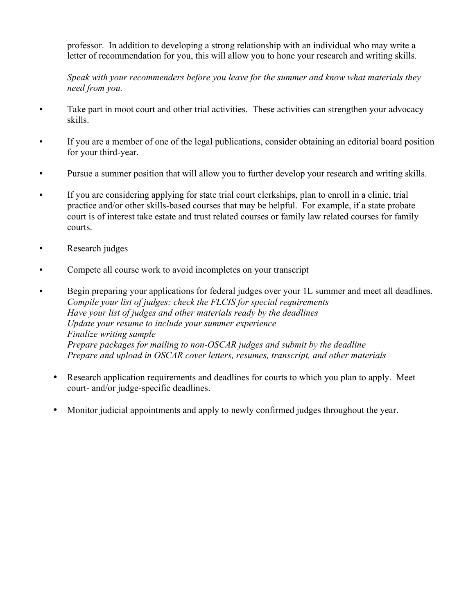professor. In addition to developing a strong relationship with an individual who may write a letter of recommendation for you, this will allow you to hone your research and writing skills.

*Speak with your recommenders before you leave for the summer and know what materials they need from you.*

- Take part in moot court and other trial activities. These activities can strengthen your advocacy skills.
- If you are a member of one of the legal publications, consider obtaining an editorial board position for your third-year.
- Pursue a summer position that will allow you to further develop your research and writing skills.
- If you are considering applying for state trial court clerkships, plan to enroll in a clinic, trial practice and/or other skills-based courses that may be helpful. For example, if a state probate court is of interest take estate and trust related courses or family law related courses for family courts.
- Research judges
- Compete all course work to avoid incompletes on your transcript
- Begin preparing your applications for federal judges over your 1L summer and meet all deadlines. *Compile your list of judges; check the FLCIS for special requirements Have your list of judges and other materials ready by the deadlines Update your resume to include your summer experience Finalize writing sample Prepare packages for mailing to non-OSCAR judges and submit by the deadline Prepare and upload in OSCAR cover letters, resumes, transcript, and other materials*
	- Research application requirements and deadlines for courts to which you plan to apply. Meet court- and/or judge-specific deadlines.
	- Monitor judicial appointments and apply to newly confirmed judges throughout the year.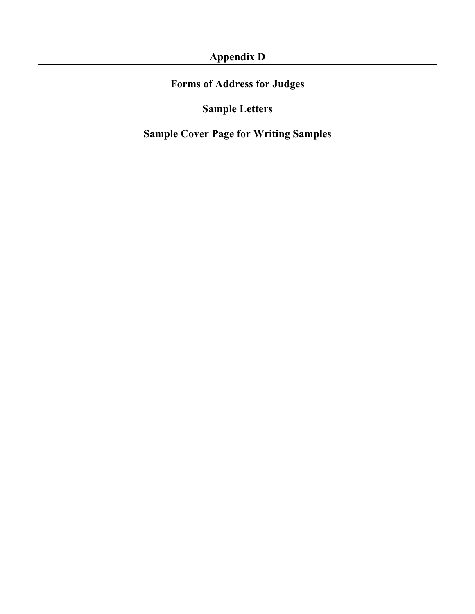# **Appendix D**

# **Forms of Address for Judges**

# **Sample Letters**

# **Sample Cover Page for Writing Samples**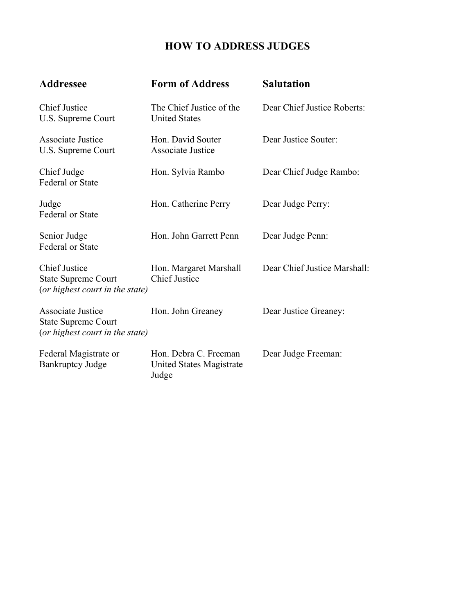# **HOW TO ADDRESS JUDGES**

| <b>Addressee</b>                                                                      | <b>Form of Address</b>                                     | <b>Salutation</b>            |
|---------------------------------------------------------------------------------------|------------------------------------------------------------|------------------------------|
| <b>Chief Justice</b><br>U.S. Supreme Court                                            | The Chief Justice of the<br><b>United States</b>           | Dear Chief Justice Roberts:  |
| Associate Justice<br>U.S. Supreme Court                                               | Hon. David Souter<br><b>Associate Justice</b>              | Dear Justice Souter:         |
| Chief Judge<br>Federal or State                                                       | Hon. Sylvia Rambo                                          | Dear Chief Judge Rambo:      |
| Judge<br><b>Federal or State</b>                                                      | Hon. Catherine Perry                                       | Dear Judge Perry:            |
| Senior Judge<br>Federal or State                                                      | Hon. John Garrett Penn                                     | Dear Judge Penn:             |
| <b>Chief Justice</b><br><b>State Supreme Court</b><br>(or highest court in the state) | Hon. Margaret Marshall<br><b>Chief Justice</b>             | Dear Chief Justice Marshall: |
| Associate Justice<br><b>State Supreme Court</b><br>(or highest court in the state)    | Hon. John Greaney                                          | Dear Justice Greaney:        |
| Federal Magistrate or<br><b>Bankruptcy Judge</b>                                      | Hon. Debra C. Freeman<br>United States Magistrate<br>Judge | Dear Judge Freeman:          |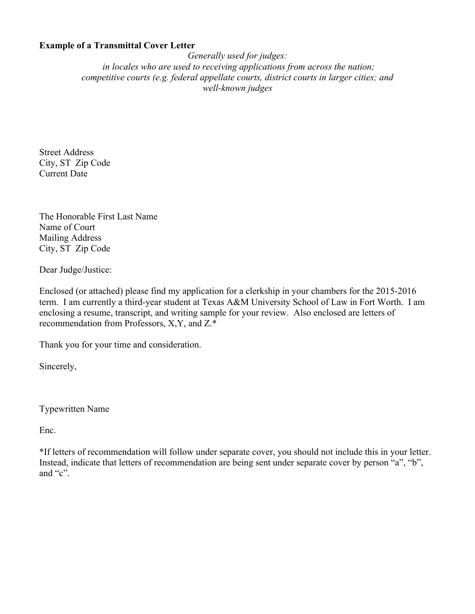# **Example of a Transmittal Cover Letter**

*Generally used for judges: in locales who are used to receiving applications from across the nation; competitive courts (e.g. federal appellate courts, district courts in larger cities; and well-known judges*

Street Address City, ST Zip Code Current Date

The Honorable First Last Name Name of Court Mailing Address City, ST Zip Code

Dear Judge/Justice:

Enclosed (or attached) please find my application for a clerkship in your chambers for the 2015-2016 term. I am currently a third-year student at Texas A&M University School of Law in Fort Worth. I am enclosing a resume, transcript, and writing sample for your review. Also enclosed are letters of recommendation from Professors, X,Y, and Z.\*

Thank you for your time and consideration.

Sincerely,

Typewritten Name

Enc.

\*If letters of recommendation will follow under separate cover, you should not include this in your letter. Instead, indicate that letters of recommendation are being sent under separate cover by person "a", "b", and "c".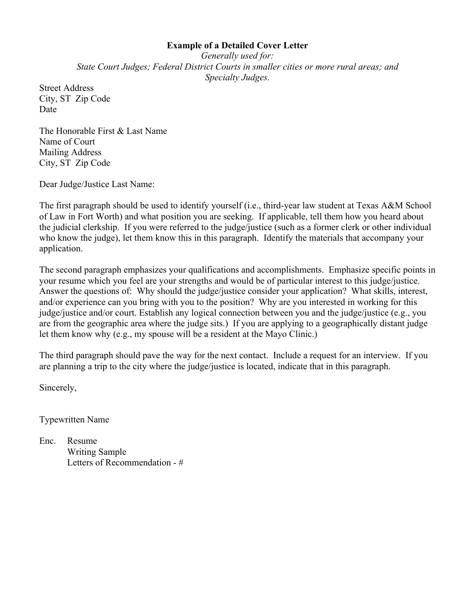# **Example of a Detailed Cover Letter**

*Generally used for: State Court Judges; Federal District Courts in smaller cities or more rural areas; and Specialty Judges.*

Street Address City, ST Zip Code Date

The Honorable First & Last Name Name of Court Mailing Address City, ST Zip Code

Dear Judge/Justice Last Name:

The first paragraph should be used to identify yourself (i.e., third-year law student at Texas A&M School of Law in Fort Worth) and what position you are seeking. If applicable, tell them how you heard about the judicial clerkship. If you were referred to the judge/justice (such as a former clerk or other individual who know the judge), let them know this in this paragraph. Identify the materials that accompany your application.

The second paragraph emphasizes your qualifications and accomplishments. Emphasize specific points in your resume which you feel are your strengths and would be of particular interest to this judge/justice. Answer the questions of: Why should the judge/justice consider your application? What skills, interest, and/or experience can you bring with you to the position? Why are you interested in working for this judge/justice and/or court. Establish any logical connection between you and the judge/justice (e.g., you are from the geographic area where the judge sits.) If you are applying to a geographically distant judge let them know why (e.g., my spouse will be a resident at the Mayo Clinic.)

The third paragraph should pave the way for the next contact. Include a request for an interview. If you are planning a trip to the city where the judge/justice is located, indicate that in this paragraph.

Sincerely,

Typewritten Name

Enc. Resume Writing Sample Letters of Recommendation - #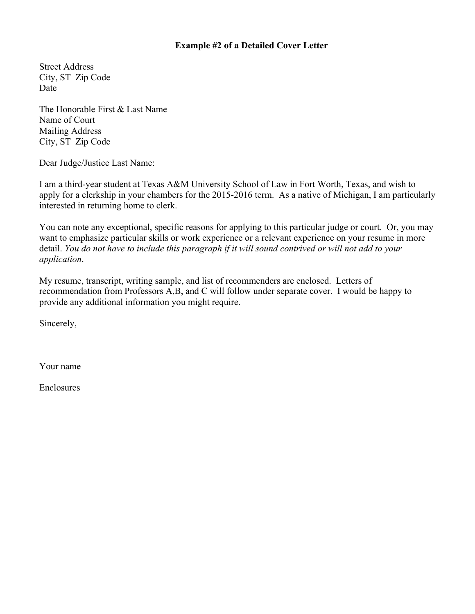# **Example #2 of a Detailed Cover Letter**

Street Address City, ST Zip Code Date

The Honorable First & Last Name Name of Court Mailing Address City, ST Zip Code

Dear Judge/Justice Last Name:

I am a third-year student at Texas A&M University School of Law in Fort Worth, Texas, and wish to apply for a clerkship in your chambers for the 2015-2016 term. As a native of Michigan, I am particularly interested in returning home to clerk.

You can note any exceptional, specific reasons for applying to this particular judge or court. Or, you may want to emphasize particular skills or work experience or a relevant experience on your resume in more detail. *You do not have to include this paragraph if it will sound contrived or will not add to your application*.

My resume, transcript, writing sample, and list of recommenders are enclosed. Letters of recommendation from Professors A,B, and C will follow under separate cover. I would be happy to provide any additional information you might require.

Sincerely,

Your name

Enclosures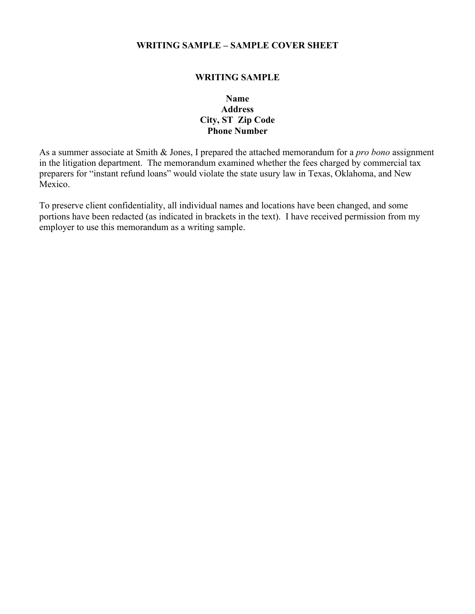# **WRITING SAMPLE – SAMPLE COVER SHEET**

# **WRITING SAMPLE**

# **Name Address City, ST Zip Code Phone Number**

As a summer associate at Smith & Jones, I prepared the attached memorandum for a *pro bono* assignment in the litigation department. The memorandum examined whether the fees charged by commercial tax preparers for "instant refund loans" would violate the state usury law in Texas, Oklahoma, and New Mexico.

To preserve client confidentiality, all individual names and locations have been changed, and some portions have been redacted (as indicated in brackets in the text). I have received permission from my employer to use this memorandum as a writing sample.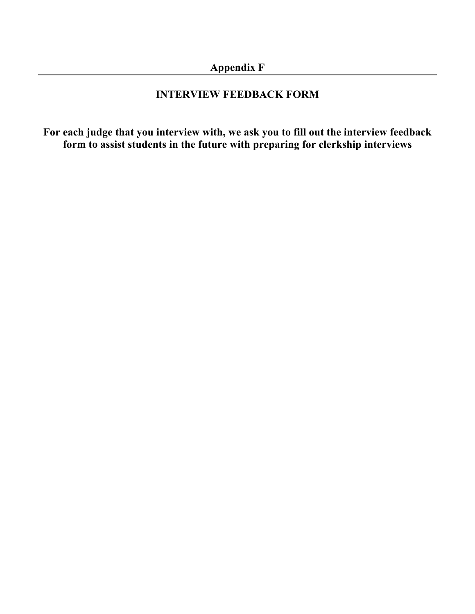# **Appendix F**

# **INTERVIEW FEEDBACK FORM**

**For each judge that you interview with, we ask you to fill out the interview feedback form to assist students in the future with preparing for clerkship interviews**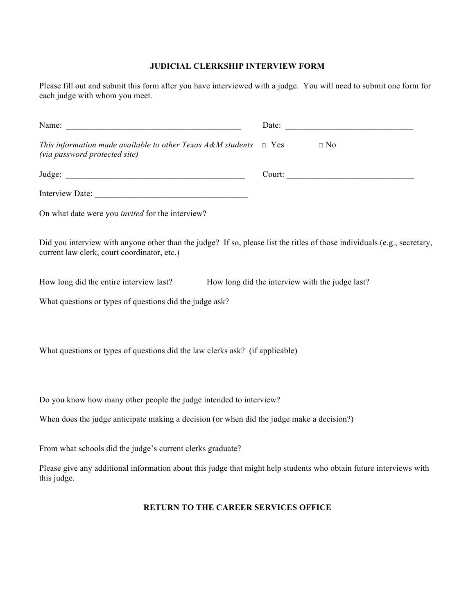### **JUDICIAL CLERKSHIP INTERVIEW FORM**

Please fill out and submit this form after you have interviewed with a judge. You will need to submit one form for each judge with whom you meet.

| Name:<br><u> 1989 - Johann Barbert Barbert Barbert Barbert Barbert Barbert Barbert Barbert Barbert Barbert Barbert Barbert B</u>                                        | Date:                                           |
|-------------------------------------------------------------------------------------------------------------------------------------------------------------------------|-------------------------------------------------|
| This information made available to other Texas A&M students<br>(via password protected site)                                                                            | $\Box$ Yes<br>$\Box$ No                         |
|                                                                                                                                                                         | Court:                                          |
|                                                                                                                                                                         |                                                 |
| On what date were you <i>invited</i> for the interview?                                                                                                                 |                                                 |
| Did you interview with anyone other than the judge? If so, please list the titles of those individuals (e.g., secretary,<br>current law clerk, court coordinator, etc.) |                                                 |
| How long did the entire interview last?                                                                                                                                 | How long did the interview with the judge last? |
| What questions or types of questions did the judge ask?                                                                                                                 |                                                 |
| What questions or types of questions did the law clerks ask? (if applicable)                                                                                            |                                                 |
| Do you know how many other people the judge intended to interview?                                                                                                      |                                                 |
| When does the judge anticipate making a decision (or when did the judge make a decision?)                                                                               |                                                 |
| From what schools did the judge's current clerks graduate?                                                                                                              |                                                 |
| Please give any additional information about this judge that might help students who obtain future interviews with<br>this judge.                                       |                                                 |

### **RETURN TO THE CAREER SERVICES OFFICE**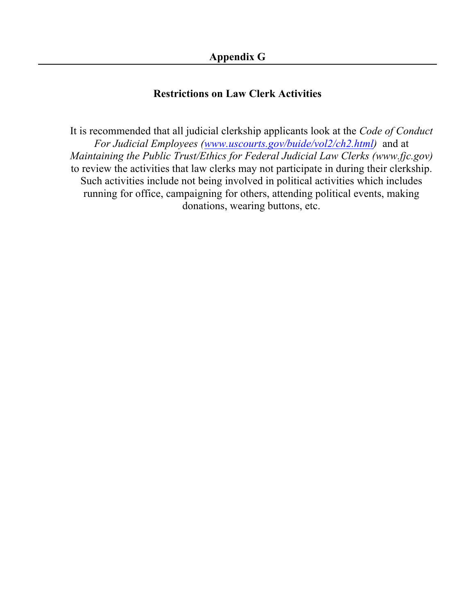# **Restrictions on Law Clerk Activities**

It is recommended that all judicial clerkship applicants look at the *Code of Conduct For Judicial Employees (www.uscourts.gov/buide/vol2/ch2.html)* and at *Maintaining the Public Trust/Ethics for Federal Judicial Law Clerks (www.fjc.gov)* to review the activities that law clerks may not participate in during their clerkship. Such activities include not being involved in political activities which includes running for office, campaigning for others, attending political events, making donations, wearing buttons, etc.